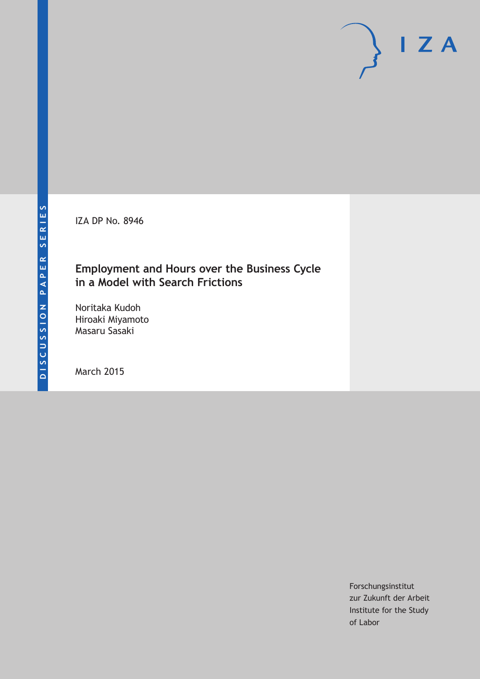IZA DP No. 8946

## **Employment and Hours over the Business Cycle in a Model with Search Frictions**

Noritaka Kudoh Hiroaki Miyamoto Masaru Sasaki

March 2015

Forschungsinstitut zur Zukunft der Arbeit Institute for the Study of Labor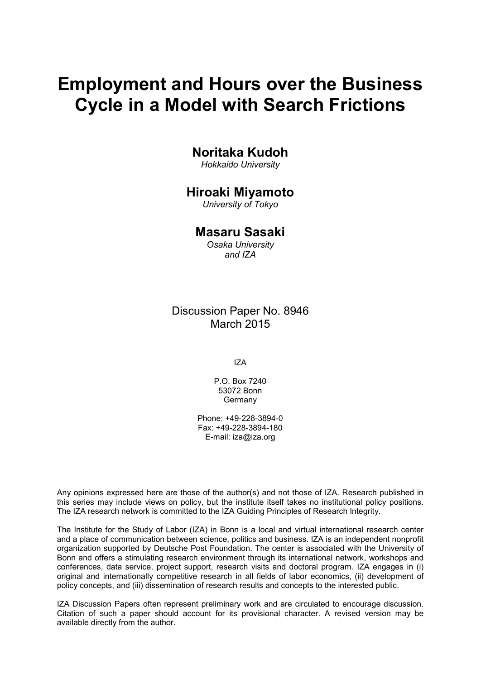# **Employment and Hours over the Business Cycle in a Model with Search Frictions**

## **Noritaka Kudoh**

*Hokkaido University*

## **Hiroaki Miyamoto**

*University of Tokyo*

## **Masaru Sasaki**

*Osaka University and IZA*

Discussion Paper No. 8946 March 2015

IZA

P.O. Box 7240 53072 Bonn Germany

Phone: +49-228-3894-0 Fax: +49-228-3894-180 E-mail: iza@iza.org

Any opinions expressed here are those of the author(s) and not those of IZA. Research published in this series may include views on policy, but the institute itself takes no institutional policy positions. The IZA research network is committed to the IZA Guiding Principles of Research Integrity.

The Institute for the Study of Labor (IZA) in Bonn is a local and virtual international research center and a place of communication between science, politics and business. IZA is an independent nonprofit organization supported by Deutsche Post Foundation. The center is associated with the University of Bonn and offers a stimulating research environment through its international network, workshops and conferences, data service, project support, research visits and doctoral program. IZA engages in (i) original and internationally competitive research in all fields of labor economics, (ii) development of policy concepts, and (iii) dissemination of research results and concepts to the interested public.

IZA Discussion Papers often represent preliminary work and are circulated to encourage discussion. Citation of such a paper should account for its provisional character. A revised version may be available directly from the author.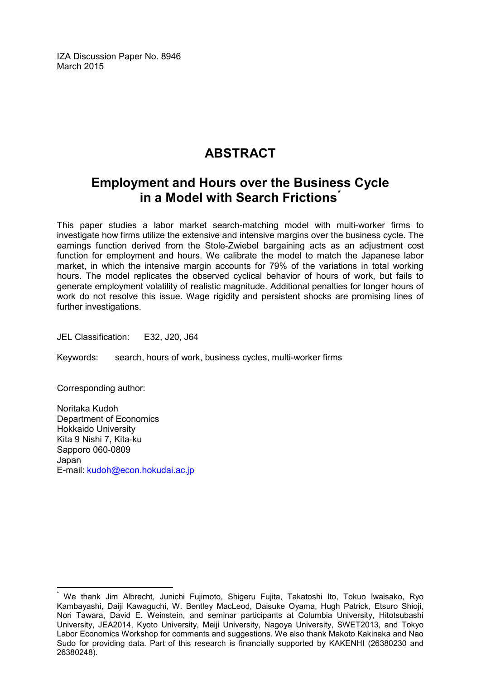IZA Discussion Paper No. 8946 March 2015

## **ABSTRACT**

## **Employment and Hours over the Business Cycle in a Model with Search Frictions[\\*](#page-2-0)**

This paper studies a labor market search-matching model with multi-worker firms to investigate how firms utilize the extensive and intensive margins over the business cycle. The earnings function derived from the Stole-Zwiebel bargaining acts as an adjustment cost function for employment and hours. We calibrate the model to match the Japanese labor market, in which the intensive margin accounts for 79% of the variations in total working hours. The model replicates the observed cyclical behavior of hours of work, but fails to generate employment volatility of realistic magnitude. Additional penalties for longer hours of work do not resolve this issue. Wage rigidity and persistent shocks are promising lines of further investigations.

JEL Classification: E32, J20, J64

Keywords: search, hours of work, business cycles, multi-worker firms

Corresponding author:

Noritaka Kudoh Department of Economics Hokkaido University Kita 9 Nishi 7, Kita‐ku Sapporo 060‐0809 Japan E-mail: [kudoh@econ.hokudai.ac.jp](mailto:kudoh@econ.hokudai.ac.jp)

<span id="page-2-0"></span>We thank Jim Albrecht, Junichi Fujimoto, Shigeru Fujita, Takatoshi Ito, Tokuo Iwaisako, Ryo Kambayashi, Daiji Kawaguchi, W. Bentley MacLeod, Daisuke Oyama, Hugh Patrick, Etsuro Shioji, Nori Tawara, David E. Weinstein, and seminar participants at Columbia University, Hitotsubashi University, JEA2014, Kyoto University, Meiji University, Nagoya University, SWET2013, and Tokyo Labor Economics Workshop for comments and suggestions. We also thank Makoto Kakinaka and Nao Sudo for providing data. Part of this research is financially supported by KAKENHI (26380230 and 26380248).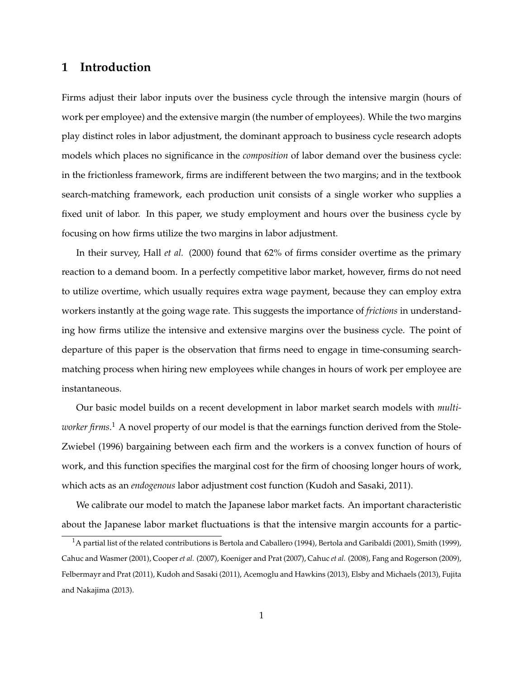## **1 Introduction**

Firms adjust their labor inputs over the business cycle through the intensive margin (hours of work per employee) and the extensive margin (the number of employees). While the two margins play distinct roles in labor adjustment, the dominant approach to business cycle research adopts models which places no significance in the *composition* of labor demand over the business cycle: in the frictionless framework, firms are indifferent between the two margins; and in the textbook search-matching framework, each production unit consists of a single worker who supplies a fixed unit of labor. In this paper, we study employment and hours over the business cycle by focusing on how firms utilize the two margins in labor adjustment.

In their survey, Hall *et al.* (2000) found that 62% of firms consider overtime as the primary reaction to a demand boom. In a perfectly competitive labor market, however, firms do not need to utilize overtime, which usually requires extra wage payment, because they can employ extra workers instantly at the going wage rate. This suggests the importance of *frictions* in understanding how firms utilize the intensive and extensive margins over the business cycle. The point of departure of this paper is the observation that firms need to engage in time-consuming searchmatching process when hiring new employees while changes in hours of work per employee are instantaneous.

Our basic model builds on a recent development in labor market search models with *multiworker firms*. <sup>1</sup> A novel property of our model is that the earnings function derived from the Stole-Zwiebel (1996) bargaining between each firm and the workers is a convex function of hours of work, and this function specifies the marginal cost for the firm of choosing longer hours of work, which acts as an *endogenous* labor adjustment cost function (Kudoh and Sasaki, 2011).

We calibrate our model to match the Japanese labor market facts. An important characteristic about the Japanese labor market fluctuations is that the intensive margin accounts for a partic-

 $1A$  partial list of the related contributions is Bertola and Caballero (1994), Bertola and Garibaldi (2001), Smith (1999), Cahuc and Wasmer (2001), Cooper *et al.* (2007), Koeniger and Prat (2007), Cahuc *et al.* (2008), Fang and Rogerson (2009), Felbermayr and Prat (2011), Kudoh and Sasaki (2011), Acemoglu and Hawkins (2013), Elsby and Michaels (2013), Fujita and Nakajima (2013).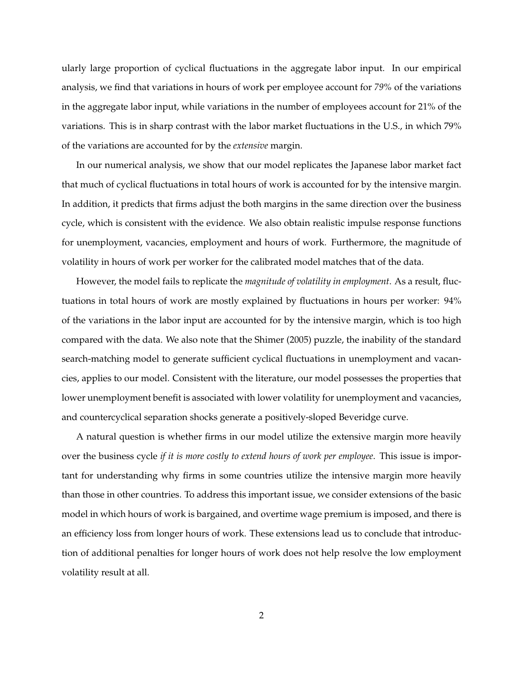ularly large proportion of cyclical fluctuations in the aggregate labor input. In our empirical analysis, we find that variations in hours of work per employee account for *79%* of the variations in the aggregate labor input, while variations in the number of employees account for 21% of the variations. This is in sharp contrast with the labor market fluctuations in the U.S., in which 79% of the variations are accounted for by the *extensive* margin.

In our numerical analysis, we show that our model replicates the Japanese labor market fact that much of cyclical fluctuations in total hours of work is accounted for by the intensive margin. In addition, it predicts that firms adjust the both margins in the same direction over the business cycle, which is consistent with the evidence. We also obtain realistic impulse response functions for unemployment, vacancies, employment and hours of work. Furthermore, the magnitude of volatility in hours of work per worker for the calibrated model matches that of the data.

However, the model fails to replicate the *magnitude of volatility in employment*. As a result, fluctuations in total hours of work are mostly explained by fluctuations in hours per worker: 94% of the variations in the labor input are accounted for by the intensive margin, which is too high compared with the data. We also note that the Shimer (2005) puzzle, the inability of the standard search-matching model to generate sufficient cyclical fluctuations in unemployment and vacancies, applies to our model. Consistent with the literature, our model possesses the properties that lower unemployment benefit is associated with lower volatility for unemployment and vacancies, and countercyclical separation shocks generate a positively-sloped Beveridge curve.

A natural question is whether firms in our model utilize the extensive margin more heavily over the business cycle *if it is more costly to extend hours of work per employee*. This issue is important for understanding why firms in some countries utilize the intensive margin more heavily than those in other countries. To address this important issue, we consider extensions of the basic model in which hours of work is bargained, and overtime wage premium is imposed, and there is an efficiency loss from longer hours of work. These extensions lead us to conclude that introduction of additional penalties for longer hours of work does not help resolve the low employment volatility result at all.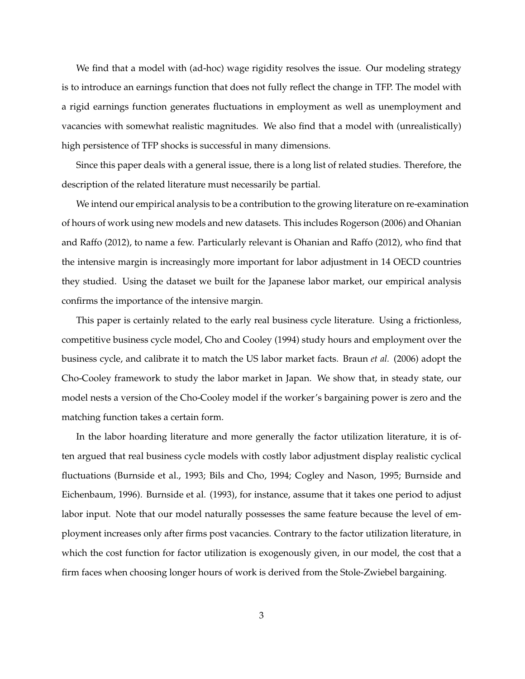We find that a model with (ad-hoc) wage rigidity resolves the issue. Our modeling strategy is to introduce an earnings function that does not fully reflect the change in TFP. The model with a rigid earnings function generates fluctuations in employment as well as unemployment and vacancies with somewhat realistic magnitudes. We also find that a model with (unrealistically) high persistence of TFP shocks is successful in many dimensions.

Since this paper deals with a general issue, there is a long list of related studies. Therefore, the description of the related literature must necessarily be partial.

We intend our empirical analysis to be a contribution to the growing literature on re-examination of hours of work using new models and new datasets. This includes Rogerson (2006) and Ohanian and Raffo (2012), to name a few. Particularly relevant is Ohanian and Raffo (2012), who find that the intensive margin is increasingly more important for labor adjustment in 14 OECD countries they studied. Using the dataset we built for the Japanese labor market, our empirical analysis confirms the importance of the intensive margin.

This paper is certainly related to the early real business cycle literature. Using a frictionless, competitive business cycle model, Cho and Cooley (1994) study hours and employment over the business cycle, and calibrate it to match the US labor market facts. Braun *et al.* (2006) adopt the Cho-Cooley framework to study the labor market in Japan. We show that, in steady state, our model nests a version of the Cho-Cooley model if the worker's bargaining power is zero and the matching function takes a certain form.

In the labor hoarding literature and more generally the factor utilization literature, it is often argued that real business cycle models with costly labor adjustment display realistic cyclical fluctuations (Burnside et al., 1993; Bils and Cho, 1994; Cogley and Nason, 1995; Burnside and Eichenbaum, 1996). Burnside et al. (1993), for instance, assume that it takes one period to adjust labor input. Note that our model naturally possesses the same feature because the level of employment increases only after firms post vacancies. Contrary to the factor utilization literature, in which the cost function for factor utilization is exogenously given, in our model, the cost that a firm faces when choosing longer hours of work is derived from the Stole-Zwiebel bargaining.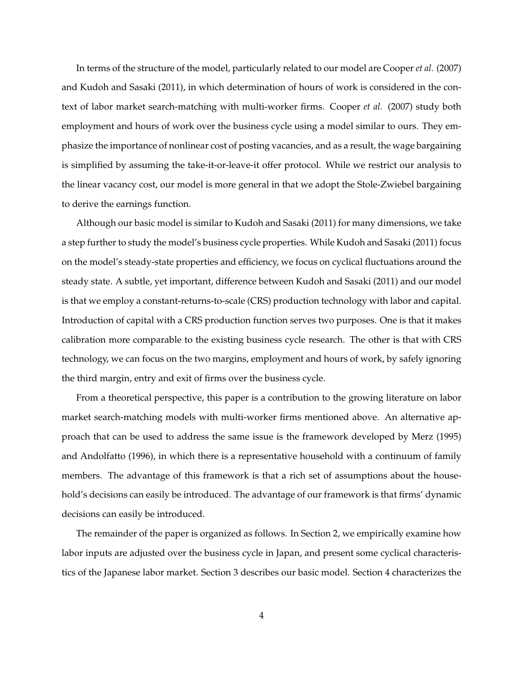In terms of the structure of the model, particularly related to our model are Cooper *et al.* (2007) and Kudoh and Sasaki (2011), in which determination of hours of work is considered in the context of labor market search-matching with multi-worker firms. Cooper *et al.* (2007) study both employment and hours of work over the business cycle using a model similar to ours. They emphasize the importance of nonlinear cost of posting vacancies, and as a result, the wage bargaining is simplified by assuming the take-it-or-leave-it offer protocol. While we restrict our analysis to the linear vacancy cost, our model is more general in that we adopt the Stole-Zwiebel bargaining to derive the earnings function.

Although our basic model is similar to Kudoh and Sasaki (2011) for many dimensions, we take a step further to study the model's business cycle properties. While Kudoh and Sasaki (2011) focus on the model's steady-state properties and efficiency, we focus on cyclical fluctuations around the steady state. A subtle, yet important, difference between Kudoh and Sasaki (2011) and our model is that we employ a constant-returns-to-scale (CRS) production technology with labor and capital. Introduction of capital with a CRS production function serves two purposes. One is that it makes calibration more comparable to the existing business cycle research. The other is that with CRS technology, we can focus on the two margins, employment and hours of work, by safely ignoring the third margin, entry and exit of firms over the business cycle.

From a theoretical perspective, this paper is a contribution to the growing literature on labor market search-matching models with multi-worker firms mentioned above. An alternative approach that can be used to address the same issue is the framework developed by Merz (1995) and Andolfatto (1996), in which there is a representative household with a continuum of family members. The advantage of this framework is that a rich set of assumptions about the household's decisions can easily be introduced. The advantage of our framework is that firms' dynamic decisions can easily be introduced.

The remainder of the paper is organized as follows. In Section 2, we empirically examine how labor inputs are adjusted over the business cycle in Japan, and present some cyclical characteristics of the Japanese labor market. Section 3 describes our basic model. Section 4 characterizes the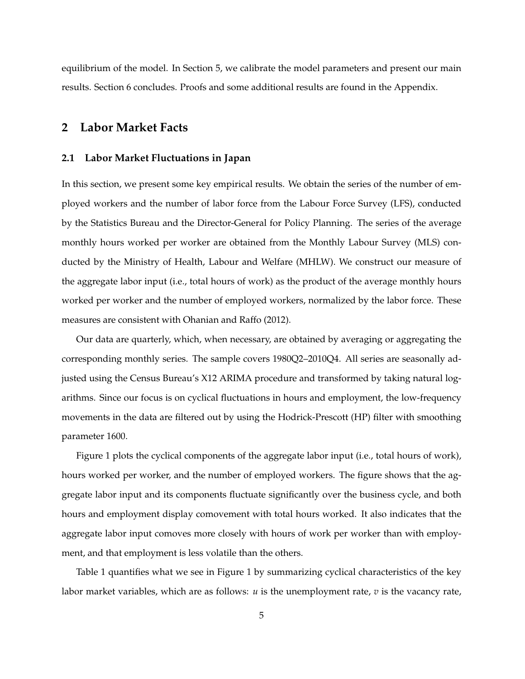equilibrium of the model. In Section 5, we calibrate the model parameters and present our main results. Section 6 concludes. Proofs and some additional results are found in the Appendix.

## **2 Labor Market Facts**

#### **2.1 Labor Market Fluctuations in Japan**

In this section, we present some key empirical results. We obtain the series of the number of employed workers and the number of labor force from the Labour Force Survey (LFS), conducted by the Statistics Bureau and the Director-General for Policy Planning. The series of the average monthly hours worked per worker are obtained from the Monthly Labour Survey (MLS) conducted by the Ministry of Health, Labour and Welfare (MHLW). We construct our measure of the aggregate labor input (i.e., total hours of work) as the product of the average monthly hours worked per worker and the number of employed workers, normalized by the labor force. These measures are consistent with Ohanian and Raffo (2012).

Our data are quarterly, which, when necessary, are obtained by averaging or aggregating the corresponding monthly series. The sample covers 1980Q2–2010Q4. All series are seasonally adjusted using the Census Bureau's X12 ARIMA procedure and transformed by taking natural logarithms. Since our focus is on cyclical fluctuations in hours and employment, the low-frequency movements in the data are filtered out by using the Hodrick-Prescott (HP) filter with smoothing parameter 1600.

Figure 1 plots the cyclical components of the aggregate labor input (i.e., total hours of work), hours worked per worker, and the number of employed workers. The figure shows that the aggregate labor input and its components fluctuate significantly over the business cycle, and both hours and employment display comovement with total hours worked. It also indicates that the aggregate labor input comoves more closely with hours of work per worker than with employment, and that employment is less volatile than the others.

Table 1 quantifies what we see in Figure 1 by summarizing cyclical characteristics of the key labor market variables, which are as follows: *u* is the unemployment rate, *v* is the vacancy rate,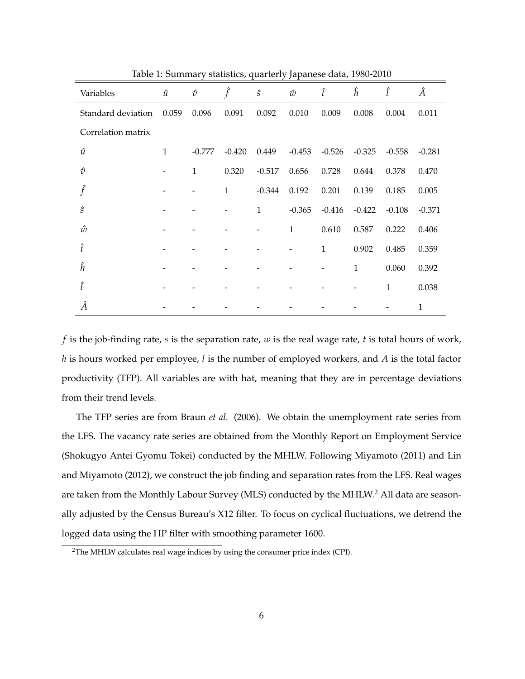| Variables          | $\hat{u}$    | $\hat{\mathcal{O}}$          | $\hat{f}$    | $\hat{S}$    | ŵ              | $\hat{t}$    | ĥ            | Î            | Â            |
|--------------------|--------------|------------------------------|--------------|--------------|----------------|--------------|--------------|--------------|--------------|
| Standard deviation | 0.059        | 0.096                        | 0.091        | 0.092        | 0.010          | 0.009        | 0.008        | 0.004        | 0.011        |
| Correlation matrix |              |                              |              |              |                |              |              |              |              |
| $\hat{u}$          | $\mathbf{1}$ | $-0.777$                     | $-0.420$     | 0.449        | $-0.453$       | $-0.526$     | $-0.325$     | $-0.558$     | $-0.281$     |
| $\hat{v}$          |              | $\mathbf{1}$                 | 0.320        | $-0.517$     | 0.656          | 0.728        | 0.644        | 0.378        | 0.470        |
| $\hat{f}$          |              | $\qquad \qquad \blacksquare$ | $\mathbf{1}$ | $-0.344$     | 0.192          | 0.201        | 0.139        | 0.185        | 0.005        |
| ŝ                  |              |                              | -            | $\mathbf{1}$ | $-0.365$       | $-0.416$     | $-0.422$     | $-0.108$     | $-0.371$     |
| ŵ                  |              |                              |              |              | $\mathbf{1}$   | 0.610        | 0.587        | 0.222        | 0.406        |
| Î                  |              |                              |              |              | $\overline{a}$ | $\mathbf{1}$ | 0.902        | 0.485        | 0.359        |
| ĥ                  |              |                              |              |              |                |              | $\mathbf{1}$ | 0.060        | 0.392        |
| î                  |              |                              |              |              |                |              |              | $\mathbf{1}$ | 0.038        |
| Â                  |              |                              |              |              |                |              |              |              | $\mathbf{1}$ |

Table 1: Summary statistics, quarterly Japanese data, 1980-2010

*f* is the job-finding rate, *s* is the separation rate, *w* is the real wage rate, *t* is total hours of work, *h* is hours worked per employee, *l* is the number of employed workers, and *A* is the total factor productivity (TFP). All variables are with hat, meaning that they are in percentage deviations from their trend levels.

The TFP series are from Braun *et al.* (2006). We obtain the unemployment rate series from the LFS. The vacancy rate series are obtained from the Monthly Report on Employment Service (Shokugyo Antei Gyomu Tokei) conducted by the MHLW. Following Miyamoto (2011) and Lin and Miyamoto (2012), we construct the job finding and separation rates from the LFS. Real wages are taken from the Monthly Labour Survey (MLS) conducted by the MHLW.<sup>2</sup> All data are seasonally adjusted by the Census Bureau's X12 filter. To focus on cyclical fluctuations, we detrend the logged data using the HP filter with smoothing parameter 1600.

<sup>&</sup>lt;sup>2</sup>The MHLW calculates real wage indices by using the consumer price index (CPI).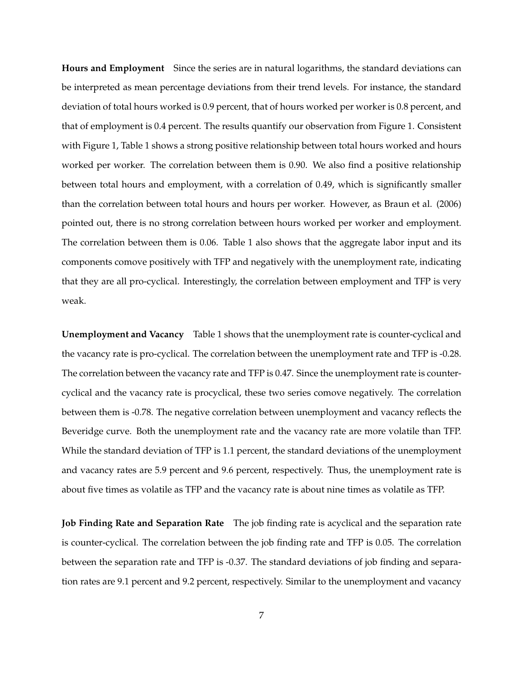**Hours and Employment** Since the series are in natural logarithms, the standard deviations can be interpreted as mean percentage deviations from their trend levels. For instance, the standard deviation of total hours worked is 0.9 percent, that of hours worked per worker is 0.8 percent, and that of employment is 0.4 percent. The results quantify our observation from Figure 1. Consistent with Figure 1, Table 1 shows a strong positive relationship between total hours worked and hours worked per worker. The correlation between them is 0.90. We also find a positive relationship between total hours and employment, with a correlation of 0.49, which is significantly smaller than the correlation between total hours and hours per worker. However, as Braun et al. (2006) pointed out, there is no strong correlation between hours worked per worker and employment. The correlation between them is 0.06. Table 1 also shows that the aggregate labor input and its components comove positively with TFP and negatively with the unemployment rate, indicating that they are all pro-cyclical. Interestingly, the correlation between employment and TFP is very weak.

**Unemployment and Vacancy** Table 1 shows that the unemployment rate is counter-cyclical and the vacancy rate is pro-cyclical. The correlation between the unemployment rate and TFP is -0.28. The correlation between the vacancy rate and TFP is 0.47. Since the unemployment rate is countercyclical and the vacancy rate is procyclical, these two series comove negatively. The correlation between them is -0.78. The negative correlation between unemployment and vacancy reflects the Beveridge curve. Both the unemployment rate and the vacancy rate are more volatile than TFP. While the standard deviation of TFP is 1.1 percent, the standard deviations of the unemployment and vacancy rates are 5.9 percent and 9.6 percent, respectively. Thus, the unemployment rate is about five times as volatile as TFP and the vacancy rate is about nine times as volatile as TFP.

**Job Finding Rate and Separation Rate** The job finding rate is acyclical and the separation rate is counter-cyclical. The correlation between the job finding rate and TFP is 0.05. The correlation between the separation rate and TFP is -0.37. The standard deviations of job finding and separation rates are 9.1 percent and 9.2 percent, respectively. Similar to the unemployment and vacancy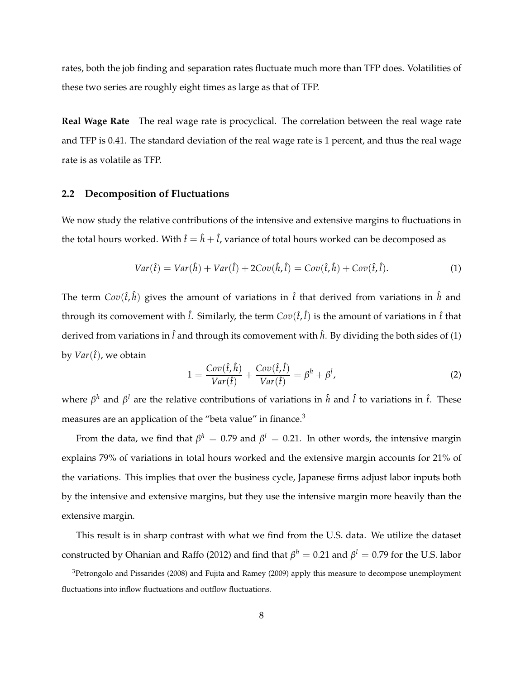rates, both the job finding and separation rates fluctuate much more than TFP does. Volatilities of these two series are roughly eight times as large as that of TFP.

**Real Wage Rate** The real wage rate is procyclical. The correlation between the real wage rate and TFP is 0.41. The standard deviation of the real wage rate is 1 percent, and thus the real wage rate is as volatile as TFP.

#### **2.2 Decomposition of Fluctuations**

We now study the relative contributions of the intensive and extensive margins to fluctuations in the total hours worked. With  $\hat{t} = \hat{h} + \hat{l}$ , variance of total hours worked can be decomposed as

$$
Var(\hat{t}) = Var(\hat{h}) + Var(\hat{l}) + 2Cov(\hat{h}, \hat{l}) = Cov(\hat{t}, \hat{h}) + Cov(\hat{t}, \hat{l}).
$$
\n(1)

The term  $Cov(\hat{t}, \hat{h})$  gives the amount of variations in  $\hat{t}$  that derived from variations in  $\hat{h}$  and through its comovement with  $\hat{l}$ . Similarly, the term  $Cov(\hat{t},\hat{l})$  is the amount of variations in  $\hat{t}$  that derived from variations in  $\hat{l}$  and through its comovement with  $\hat{h}$ . By dividing the both sides of (1) by  $Var(\hat{t})$ , we obtain

$$
1 = \frac{Cov(\hat{t}, \hat{h})}{Var(\hat{t})} + \frac{Cov(\hat{t}, \hat{l})}{Var(\hat{t})} = \beta^h + \beta^l,
$$
\n(2)

where *β <sup>h</sup>* and *β <sup>l</sup>* are the relative contributions of variations in ˆ*h* and ˆ *l* to variations in ˆ*t*. These measures are an application of the "beta value" in finance.<sup>3</sup>

From the data, we find that  $\beta^h\,=\,0.79$  and  $\beta^l\,=\,0.21.$  In other words, the intensive margin explains 79% of variations in total hours worked and the extensive margin accounts for 21% of the variations. This implies that over the business cycle, Japanese firms adjust labor inputs both by the intensive and extensive margins, but they use the intensive margin more heavily than the extensive margin.

This result is in sharp contrast with what we find from the U.S. data. We utilize the dataset  $\alpha$  constructed by Ohanian and Raffo (2012) and find that  $\beta^h=0.21$  and  $\beta^l=0.79$  for the U.S. labor

 $3$ Petrongolo and Pissarides (2008) and Fujita and Ramey (2009) apply this measure to decompose unemployment fluctuations into inflow fluctuations and outflow fluctuations.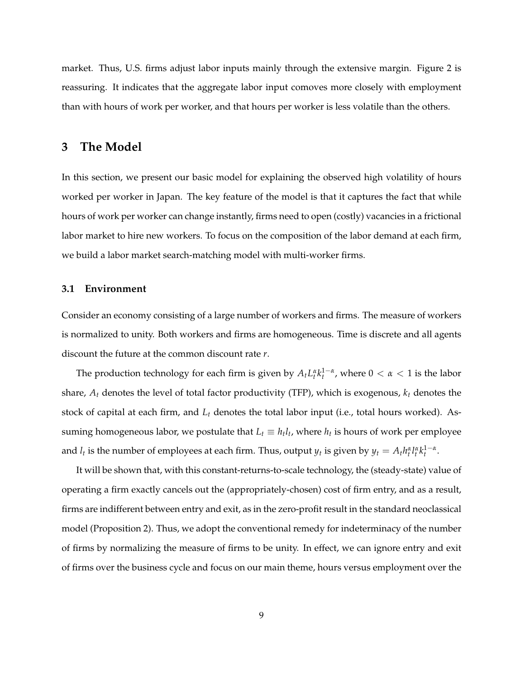market. Thus, U.S. firms adjust labor inputs mainly through the extensive margin. Figure 2 is reassuring. It indicates that the aggregate labor input comoves more closely with employment than with hours of work per worker, and that hours per worker is less volatile than the others.

## **3 The Model**

In this section, we present our basic model for explaining the observed high volatility of hours worked per worker in Japan. The key feature of the model is that it captures the fact that while hours of work per worker can change instantly, firms need to open (costly) vacancies in a frictional labor market to hire new workers. To focus on the composition of the labor demand at each firm, we build a labor market search-matching model with multi-worker firms.

#### **3.1 Environment**

Consider an economy consisting of a large number of workers and firms. The measure of workers is normalized to unity. Both workers and firms are homogeneous. Time is discrete and all agents discount the future at the common discount rate *r*.

The production technology for each firm is given by  $A_t L_t^{\alpha} k_t^{1-\alpha}$ , where  $0 < \alpha < 1$  is the labor share, *A<sup>t</sup>* denotes the level of total factor productivity (TFP), which is exogenous, *k<sup>t</sup>* denotes the stock of capital at each firm, and *L<sup>t</sup>* denotes the total labor input (i.e., total hours worked). Assuming homogeneous labor, we postulate that  $L_t \equiv h_t l_t$ , where  $h_t$  is hours of work per employee and  $l_t$  is the number of employees at each firm. Thus, output  $y_t$  is given by  $y_t = A_t h_t^{\alpha} l_t^{\alpha} k_t^{1-\alpha}$ .

It will be shown that, with this constant-returns-to-scale technology, the (steady-state) value of operating a firm exactly cancels out the (appropriately-chosen) cost of firm entry, and as a result, firms are indifferent between entry and exit, as in the zero-profit result in the standard neoclassical model (Proposition 2). Thus, we adopt the conventional remedy for indeterminacy of the number of firms by normalizing the measure of firms to be unity. In effect, we can ignore entry and exit of firms over the business cycle and focus on our main theme, hours versus employment over the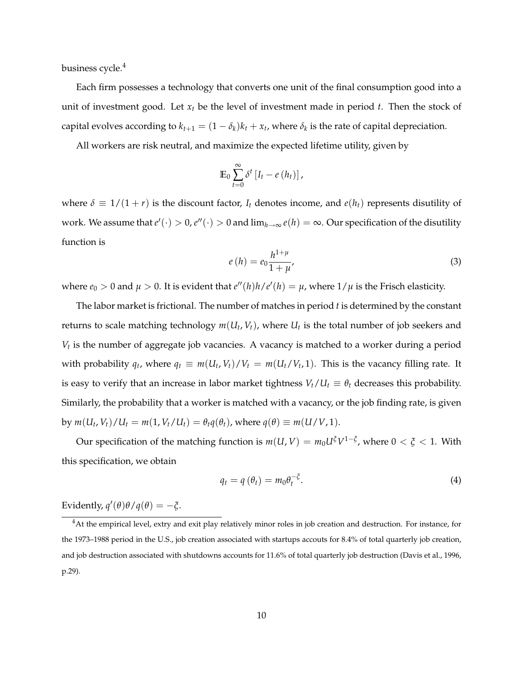business cycle.<sup>4</sup>

Each firm possesses a technology that converts one unit of the final consumption good into a unit of investment good. Let  $x_t$  be the level of investment made in period  $t$ . Then the stock of capital evolves according to  $k_{t+1} = (1 - \delta_k)k_t + x_t$ , where  $\delta_k$  is the rate of capital depreciation.

All workers are risk neutral, and maximize the expected lifetime utility, given by

$$
\mathbb{E}_0 \sum_{t=0}^{\infty} \delta^t \left[ I_t - e\left( h_t \right) \right],
$$

where  $\delta \equiv 1/(1 + r)$  is the discount factor, *I<sub>t</sub>* denotes income, and  $e(h_t)$  represents disutility of work. We assume that  $e'(\cdot) > 0$ ,  $e''(\cdot) > 0$  and  $\lim_{h\to\infty} e(h) = \infty$ . Our specification of the disutility function is

$$
e(h) = e_0 \frac{h^{1+\mu}}{1+\mu},\tag{3}
$$

where  $e_0 > 0$  and  $\mu > 0$ . It is evident that  $e''(h)h/e'(h) = \mu$ , where  $1/\mu$  is the Frisch elasticity.

The labor market is frictional. The number of matches in period *t* is determined by the constant returns to scale matching technology  $m(U_t, V_t)$ , where  $U_t$  is the total number of job seekers and *Vt* is the number of aggregate job vacancies. A vacancy is matched to a worker during a period with probability  $q_t$ , where  $q_t \equiv m(U_t, V_t)/V_t = m(U_t/V_t, 1)$ . This is the vacancy filling rate. It is easy to verify that an increase in labor market tightness  $V_t/U_t \equiv \theta_t$  decreases this probability. Similarly, the probability that a worker is matched with a vacancy, or the job finding rate, is given by  $m(U_t, V_t)/U_t = m(1, V_t/U_t) = \theta_t q(\theta_t)$ , where  $q(\theta) \equiv m(U/V, 1)$ .

Our specification of the matching function is  $m(U, V) = m_0 U^{\xi} V^{1-\xi}$ , where  $0 < \xi < 1$ . With this specification, we obtain

$$
q_t = q(\theta_t) = m_0 \theta_t^{-\xi}.
$$
\n(4)

Evidently,  $q'(\theta)\theta/q(\theta) = -\xi$ .

<sup>&</sup>lt;sup>4</sup>At the empirical level, extry and exit play relatively minor roles in job creation and destruction. For instance, for the 1973–1988 period in the U.S., job creation associated with startups accouts for 8.4% of total quarterly job creation, and job destruction associated with shutdowns accounts for 11.6% of total quarterly job destruction (Davis et al., 1996, p.29).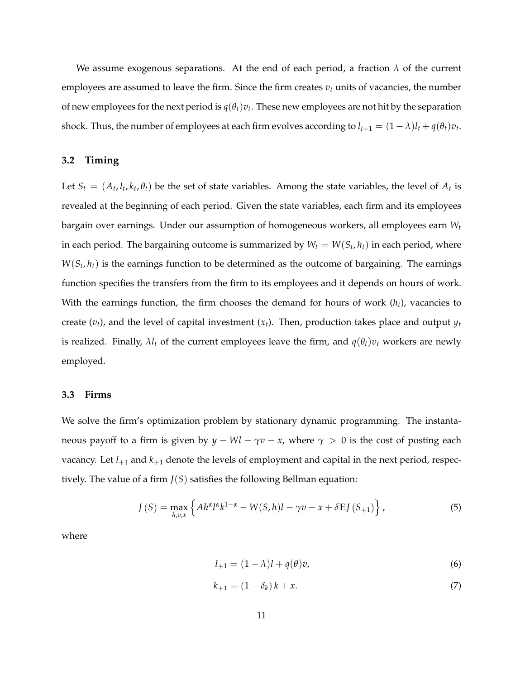We assume exogenous separations. At the end of each period, a fraction  $\lambda$  of the current employees are assumed to leave the firm. Since the firm creates  $v_t$  units of vacancies, the number of new employees for the next period is  $q(\theta_t)v_t$ . These new employees are not hit by the separation shock. Thus, the number of employees at each firm evolves according to  $l_{t+1} = (1 - \lambda)l_t + q(\theta_t)v_t$ .

#### **3.2 Timing**

Let  $S_t = (A_t, l_t, k_t, \theta_t)$  be the set of state variables. Among the state variables, the level of  $A_t$  is revealed at the beginning of each period. Given the state variables, each firm and its employees bargain over earnings. Under our assumption of homogeneous workers, all employees earn *W<sup>t</sup>* in each period. The bargaining outcome is summarized by  $W_t = W(S_t, h_t)$  in each period, where  $W(S_t, h_t)$  is the earnings function to be determined as the outcome of bargaining. The earnings function specifies the transfers from the firm to its employees and it depends on hours of work. With the earnings function, the firm chooses the demand for hours of work (*ht*), vacancies to create  $(v_t)$ , and the level of capital investment  $(x_t)$ . Then, production takes place and output  $y_t$ is realized. Finally,  $\lambda l_t$  of the current employees leave the firm, and  $q(\theta_t)v_t$  workers are newly employed.

#### **3.3 Firms**

We solve the firm's optimization problem by stationary dynamic programming. The instantaneous payoff to a firm is given by  $y - Wl - \gamma v - x$ , where  $\gamma > 0$  is the cost of posting each vacancy. Let *l*+<sup>1</sup> and *k*+<sup>1</sup> denote the levels of employment and capital in the next period, respectively. The value of a firm *J*(*S*) satisfies the following Bellman equation:

$$
J(S) = \max_{h,v,x} \left\{ Ah^{\alpha}l^{\alpha}k^{1-\alpha} - W(S,h)l - \gamma v - x + \delta \mathbb{E}J(S_{+1}) \right\},\tag{5}
$$

where

$$
l_{+1} = (1 - \lambda)l + q(\theta)v,
$$
\n(6)

$$
k_{+1} = (1 - \delta_k) k + x.
$$
 (7)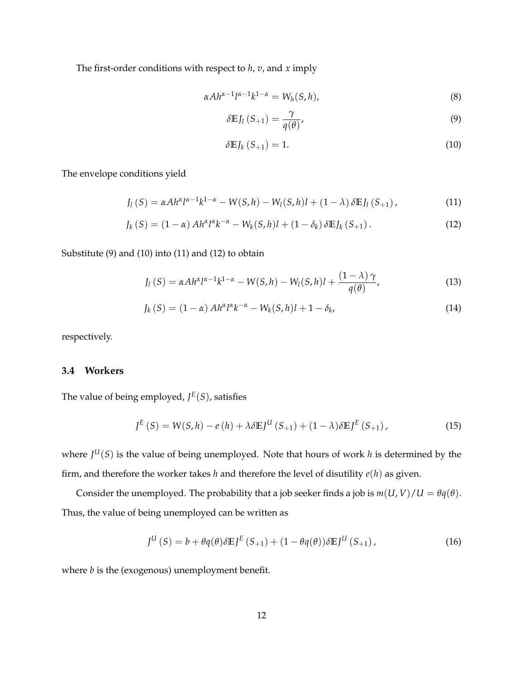The first-order conditions with respect to *h*, *v*, and *x* imply

$$
\alpha Ah^{\alpha-1}l^{\alpha-1}k^{1-\alpha} = W_h(S,h), \qquad (8)
$$

$$
\delta \mathbb{E} J_l \left( S_{+1} \right) = \frac{\gamma}{q(\theta)},\tag{9}
$$

$$
\delta \mathbb{E} J_k \left( S_{+1} \right) = 1. \tag{10}
$$

The envelope conditions yield

$$
J_{l}(S) = \alpha A h^{\alpha} l^{\alpha-1} k^{1-\alpha} - W(S, h) - W_{l}(S, h)l + (1 - \lambda) \delta E J_{l}(S_{+1}), \qquad (11)
$$

$$
J_k(S) = (1 - \alpha) Ah^{\alpha} l^{\alpha} k^{-\alpha} - W_k(S, h) l + (1 - \delta_k) \delta \mathbb{E} J_k(S_{+1}). \tag{12}
$$

Substitute (9) and (10) into (11) and (12) to obtain

$$
J_l(S) = \alpha A h^{\alpha} l^{\alpha-1} k^{1-\alpha} - W(S,h) - W_l(S,h)l + \frac{(1-\lambda)\gamma}{q(\theta)},
$$
\n(13)

$$
J_k(S) = (1 - \alpha) Ah^{\alpha} l^{\alpha} k^{-\alpha} - W_k(S, h) l + 1 - \delta_k,
$$
\n(14)

respectively.

#### **3.4 Workers**

The value of being employed, *J E* (*S*), satisfies

$$
J^{E}(S) = W(S,h) - e(h) + \lambda \delta E J^{U}(S_{+1}) + (1 - \lambda) \delta E J^{E}(S_{+1}), \qquad (15)
$$

where *J <sup>U</sup>*(*S*) is the value of being unemployed. Note that hours of work *h* is determined by the firm, and therefore the worker takes *h* and therefore the level of disutility *e*(*h*) as given.

Consider the unemployed. The probability that a job seeker finds a job is  $m(U, V)/U = \theta q(\theta)$ . Thus, the value of being unemployed can be written as

$$
J^{U}(S) = b + \theta q(\theta) \delta \mathbb{E} J^{E}(S_{+1}) + (1 - \theta q(\theta)) \delta \mathbb{E} J^{U}(S_{+1}), \qquad (16)
$$

where *b* is the (exogenous) unemployment benefit.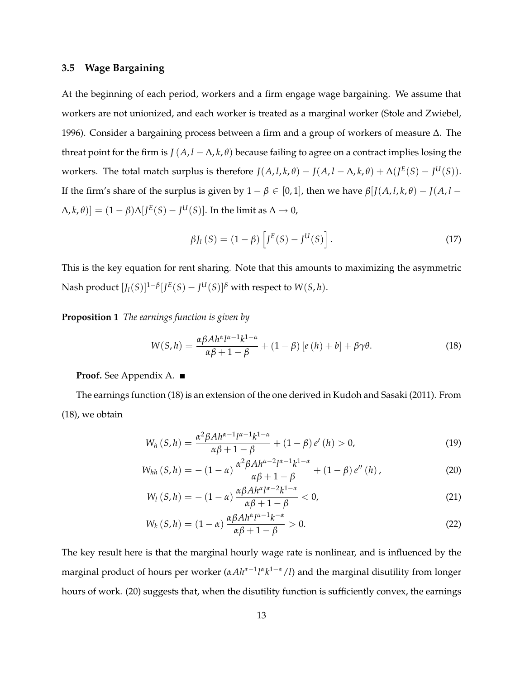#### **3.5 Wage Bargaining**

At the beginning of each period, workers and a firm engage wage bargaining. We assume that workers are not unionized, and each worker is treated as a marginal worker (Stole and Zwiebel, 1996). Consider a bargaining process between a firm and a group of workers of measure ∆. The threat point for the firm is  $J(A, l - \Delta, k, \theta)$  because failing to agree on a contract implies losing the workers. The total match surplus is therefore  $J(A, l, k, \theta) - J(A, l - \Delta, k, \theta) + \Delta(J^{E}(S) - J^{U}(S))$ . If the firm's share of the surplus is given by  $1 - \beta \in [0, 1]$ , then we have  $\beta$ [*J*(*A*, *l*, *k*,  $\theta$ ) - *J*(*A*, *l* - $[\Delta, k, \theta]$  =  $(1 - \beta) \Delta [J^E(S) - J^U(S)]$ . In the limit as  $\Delta \to 0$ ,

$$
\beta J_l(S) = (1 - \beta) \left[ J^E(S) - J^U(S) \right]. \tag{17}
$$

This is the key equation for rent sharing. Note that this amounts to maximizing the asymmetric Nash product  $[J_l(S)]^{1-\beta} [J^E(S) - J^U(S)]^{\beta}$  with respect to  $W(S, h)$ .

**Proposition 1** *The earnings function is given by*

$$
W(S,h) = \frac{\alpha \beta A h^{\alpha} l^{\alpha-1} k^{1-\alpha}}{\alpha \beta + 1 - \beta} + (1 - \beta) \left[ e(h) + b \right] + \beta \gamma \theta.
$$
 (18)

#### **Proof.** See Appendix A.

The earnings function (18) is an extension of the one derived in Kudoh and Sasaki (2011). From (18), we obtain

$$
W_h(S,h) = \frac{\alpha^2 \beta A h^{\alpha-1} l^{\alpha-1} k^{1-\alpha}}{\alpha \beta + 1 - \beta} + (1 - \beta) e'(h) > 0,
$$
\n(19)

$$
W_{hh} (S,h) = -(1-\alpha) \frac{\alpha^2 \beta A h^{\alpha-2} l^{\alpha-1} k^{1-\alpha}}{\alpha \beta + 1 - \beta} + (1-\beta) e'' (h), \qquad (20)
$$

$$
W_l(S,h) = -(1-\alpha)\frac{\alpha\beta Ah^{\alpha}l^{\alpha-2}k^{1-\alpha}}{\alpha\beta+1-\beta} < 0,\tag{21}
$$

$$
W_k(S,h) = (1-\alpha) \frac{\alpha \beta A h^{\alpha} l^{\alpha-1} k^{-\alpha}}{\alpha \beta + 1 - \beta} > 0.
$$
 (22)

The key result here is that the marginal hourly wage rate is nonlinear, and is influenced by the marginal product of hours per worker (*αAh<sup>α-1</sup>l<sup>α</sup>k<sup>1-α</sup>/l*) and the marginal disutility from longer hours of work. (20) suggests that, when the disutility function is sufficiently convex, the earnings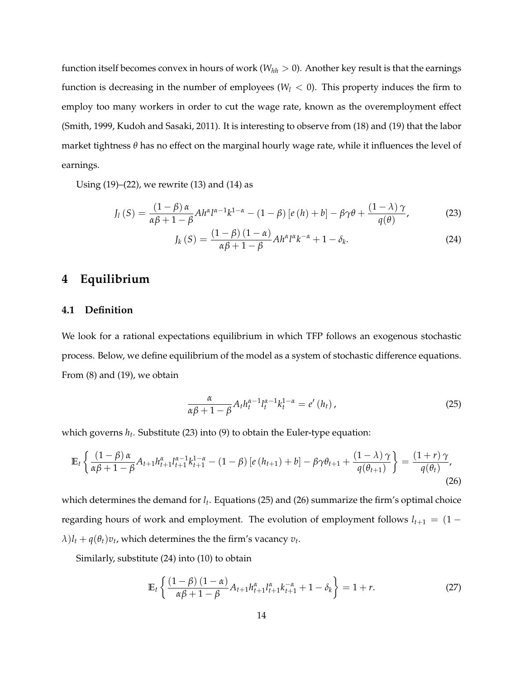function itself becomes convex in hours of work ( $W_{hh} > 0$ ). Another key result is that the earnings function is decreasing in the number of employees ( $W_l < 0$ ). This property induces the firm to employ too many workers in order to cut the wage rate, known as the overemployment effect (Smith, 1999, Kudoh and Sasaki, 2011). It is interesting to observe from (18) and (19) that the labor market tightness *θ* has no effect on the marginal hourly wage rate, while it influences the level of earnings.

Using  $(19)$ – $(22)$ , we rewrite  $(13)$  and  $(14)$  as

$$
J_{l}(S) = \frac{(1-\beta)\alpha}{\alpha\beta+1-\beta}Ah^{\alpha}l^{\alpha-1}k^{1-\alpha} - (1-\beta)[e(h)+b] - \beta\gamma\theta + \frac{(1-\lambda)\gamma}{q(\theta)},
$$
 (23)

$$
J_{k}(S) = \frac{(1-\beta)(1-\alpha)}{\alpha\beta + 1 - \beta} Ah^{\alpha}l^{\alpha}k^{-\alpha} + 1 - \delta_{k}.
$$
 (24)

## **4 Equilibrium**

#### **4.1 Definition**

We look for a rational expectations equilibrium in which TFP follows an exogenous stochastic process. Below, we define equilibrium of the model as a system of stochastic difference equations. From (8) and (19), we obtain

$$
\frac{\alpha}{\alpha\beta+1-\beta}A_t h_t^{\alpha-1}l_t^{\alpha-1}k_t^{1-\alpha}=e'\left(h_t\right),\tag{25}
$$

which governs *h<sup>t</sup>* . Substitute (23) into (9) to obtain the Euler-type equation:

$$
\mathbb{E}_{t}\left\{\frac{(1-\beta)\alpha}{\alpha\beta+1-\beta}A_{t+1}h_{t+1}^{\alpha}l_{t+1}^{\alpha-1}k_{t+1}^{1-\alpha}-(1-\beta)\left[e\left(h_{t+1}\right)+b\right]-\beta\gamma\theta_{t+1}+\frac{(1-\lambda)\gamma}{q(\theta_{t+1})}\right\}=\frac{(1+r)\gamma}{q(\theta_{t})},\tag{26}
$$

which determines the demand for *l<sup>t</sup>* . Equations (25) and (26) summarize the firm's optimal choice regarding hours of work and employment. The evolution of employment follows  $l_{t+1} = (1 \lambda$ ) $l_t$  +  $q(\theta_t)v_t$ , which determines the the firm's vacancy  $v_t$ .

Similarly, substitute (24) into (10) to obtain

$$
\mathbb{E}_{t}\left\{\frac{(1-\beta)(1-\alpha)}{\alpha\beta+1-\beta}A_{t+1}h_{t+1}^{\alpha}l_{t+1}^{\alpha}k_{t+1}^{-\alpha}+1-\delta_{k}\right\}=1+r.\tag{27}
$$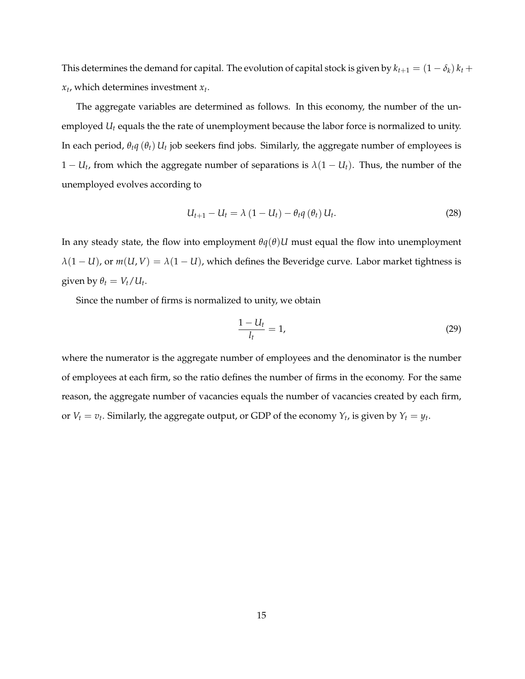This determines the demand for capital. The evolution of capital stock is given by  $k_{t+1} = (1 - \delta_k) k_t +$ *xt* , which determines investment *x<sup>t</sup>* .

The aggregate variables are determined as follows. In this economy, the number of the unemployed *U<sup>t</sup>* equals the the rate of unemployment because the labor force is normalized to unity. In each period,  $\theta_t q(\theta_t) U_t$  job seekers find jobs. Similarly, the aggregate number of employees is  $1 - U_t$ , from which the aggregate number of separations is  $\lambda(1 - U_t)$ . Thus, the number of the unemployed evolves according to

$$
U_{t+1} - U_t = \lambda (1 - U_t) - \theta_t q(\theta_t) U_t.
$$
 (28)

In any steady state, the flow into employment  $\theta q(\theta)U$  must equal the flow into unemployment  $\lambda(1-U)$ , or  $m(U, V) = \lambda(1-U)$ , which defines the Beveridge curve. Labor market tightness is given by  $\theta_t = V_t / U_t$ .

Since the number of firms is normalized to unity, we obtain

$$
\frac{1-U_t}{l_t}=1,\t\t(29)
$$

where the numerator is the aggregate number of employees and the denominator is the number of employees at each firm, so the ratio defines the number of firms in the economy. For the same reason, the aggregate number of vacancies equals the number of vacancies created by each firm, or  $V_t = v_t$ . Similarly, the aggregate output, or GDP of the economy  $Y_t$ , is given by  $Y_t = y_t$ .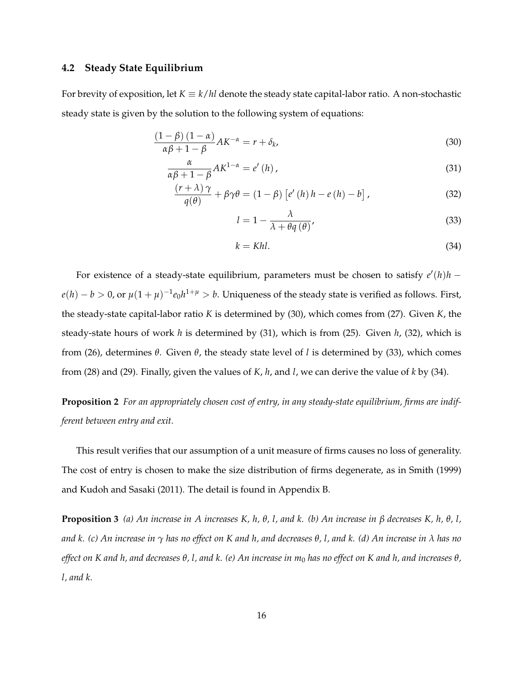#### **4.2 Steady State Equilibrium**

For brevity of exposition, let  $K \equiv k/hl$  denote the steady state capital-labor ratio. A non-stochastic steady state is given by the solution to the following system of equations:

$$
\frac{(1-\beta)(1-\alpha)}{\alpha\beta+1-\beta}AK^{-\alpha} = r + \delta_k,
$$
\n(30)

$$
\frac{\alpha}{\alpha\beta + 1 - \beta} A K^{1 - \alpha} = e'(h), \qquad (31)
$$

$$
\frac{(r+\lambda)\gamma}{q(\theta)} + \beta\gamma\theta = (1-\beta)\left[e'(h)h - e(h) - b\right],
$$
\n(32)

$$
l = 1 - \frac{\lambda}{\lambda + \theta q(\theta)}\tag{33}
$$

$$
k = Khl. \tag{34}
$$

For existence of a steady-state equilibrium, parameters must be chosen to satisfy  $e'(h)h$  –  $e(h) - b > 0$ , or  $\mu(1 + \mu)^{-1}e_0h^{1 + \mu} > b$ . Uniqueness of the steady state is verified as follows. First, the steady-state capital-labor ratio *K* is determined by (30), which comes from (27). Given *K*, the steady-state hours of work *h* is determined by (31), which is from (25). Given *h*, (32), which is from (26), determines *θ*. Given *θ*, the steady state level of *l* is determined by (33), which comes from (28) and (29). Finally, given the values of *K*, *h*, and *l*, we can derive the value of *k* by (34).

**Proposition 2** *For an appropriately chosen cost of entry, in any steady-state equilibrium, firms are indifferent between entry and exit.*

This result verifies that our assumption of a unit measure of firms causes no loss of generality. The cost of entry is chosen to make the size distribution of firms degenerate, as in Smith (1999) and Kudoh and Sasaki (2011). The detail is found in Appendix B.

**Proposition 3** *(a) An increase in A increases K, h, θ, l, and k. (b) An increase in β decreases K, h, θ, l, and k. (c) An increase in γ has no effect on K and h, and decreases θ, l, and k. (d) An increase in λ has no effect on K and h, and decreases θ, l, and k. (e) An increase in m*<sup>0</sup> *has no effect on K and h, and increases θ, l, and k.*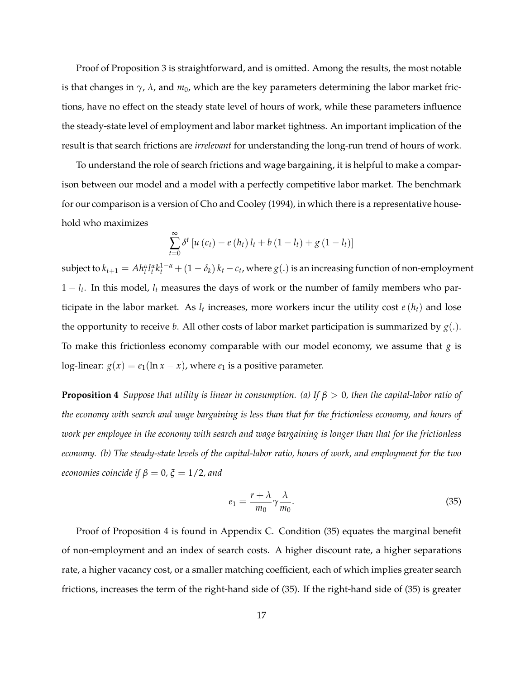Proof of Proposition 3 is straightforward, and is omitted. Among the results, the most notable is that changes in  $\gamma$ ,  $\lambda$ , and  $m_0$ , which are the key parameters determining the labor market frictions, have no effect on the steady state level of hours of work, while these parameters influence the steady-state level of employment and labor market tightness. An important implication of the result is that search frictions are *irrelevant* for understanding the long-run trend of hours of work.

To understand the role of search frictions and wage bargaining, it is helpful to make a comparison between our model and a model with a perfectly competitive labor market. The benchmark for our comparison is a version of Cho and Cooley (1994), in which there is a representative household who maximizes

$$
\sum_{t=0}^{\infty} \delta^{t} \left[ u(c_{t}) - e(h_{t}) l_{t} + b(1 - l_{t}) + g(1 - l_{t}) \right]
$$

subject to  $k_{t+1}=Ah_t^{\alpha}l_t^{\alpha}k_t^{1-\alpha}+(1-\delta_k)k_t-c_t$ , where  $g(.)$  is an increasing function of non-employment  $1 - l_t$ . In this model,  $l_t$  measures the days of work or the number of family members who participate in the labor market. As *l<sup>t</sup>* increases, more workers incur the utility cost *e*(*ht*) and lose the opportunity to receive *b*. All other costs of labor market participation is summarized by  $g(.)$ . To make this frictionless economy comparable with our model economy, we assume that *g* is log-linear:  $g(x) = e_1(\ln x - x)$ , where  $e_1$  is a positive parameter.

**Proposition 4** *Suppose that utility is linear in consumption. (a) If β* > 0*, then the capital-labor ratio of the economy with search and wage bargaining is less than that for the frictionless economy, and hours of work per employee in the economy with search and wage bargaining is longer than that for the frictionless economy. (b) The steady-state levels of the capital-labor ratio, hours of work, and employment for the two economies coincide if*  $\beta = 0$ ,  $\xi = 1/2$ , and

$$
e_1 = \frac{r + \lambda}{m_0} \gamma \frac{\lambda}{m_0}.
$$
\n(35)

Proof of Proposition 4 is found in Appendix C. Condition (35) equates the marginal benefit of non-employment and an index of search costs. A higher discount rate, a higher separations rate, a higher vacancy cost, or a smaller matching coefficient, each of which implies greater search frictions, increases the term of the right-hand side of (35). If the right-hand side of (35) is greater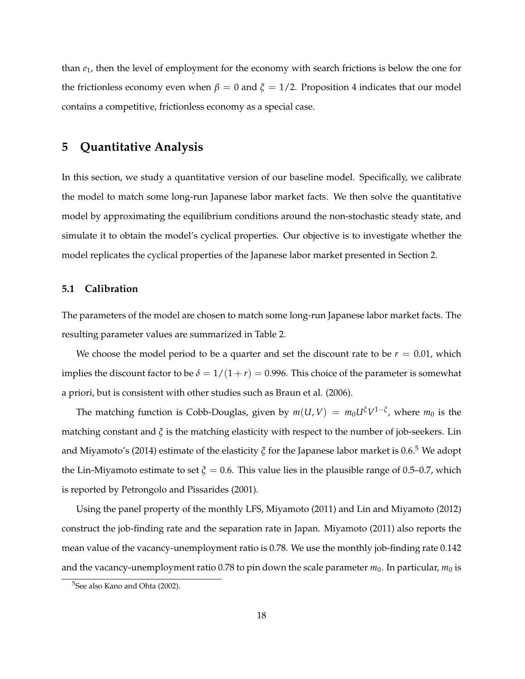than *e*1, then the level of employment for the economy with search frictions is below the one for the frictionless economy even when  $β = 0$  and  $ξ = 1/2$ . Proposition 4 indicates that our model contains a competitive, frictionless economy as a special case.

### **5 Quantitative Analysis**

In this section, we study a quantitative version of our baseline model. Specifically, we calibrate the model to match some long-run Japanese labor market facts. We then solve the quantitative model by approximating the equilibrium conditions around the non-stochastic steady state, and simulate it to obtain the model's cyclical properties. Our objective is to investigate whether the model replicates the cyclical properties of the Japanese labor market presented in Section 2.

#### **5.1 Calibration**

The parameters of the model are chosen to match some long-run Japanese labor market facts. The resulting parameter values are summarized in Table 2.

We choose the model period to be a quarter and set the discount rate to be  $r = 0.01$ , which implies the discount factor to be  $\delta = 1/(1+r) = 0.996$ . This choice of the parameter is somewhat a priori, but is consistent with other studies such as Braun et al. (2006).

The matching function is Cobb-Douglas, given by  $m(U, V) = m_0 U^{\xi} V^{1-\xi}$ , where  $m_0$  is the matching constant and *ξ* is the matching elasticity with respect to the number of job-seekers. Lin and Miyamoto's (2014) estimate of the elasticity *ξ* for the Japanese labor market is 0.6.<sup>5</sup> We adopt the Lin-Miyamoto estimate to set  $\xi = 0.6$ . This value lies in the plausible range of 0.5–0.7, which is reported by Petrongolo and Pissarides (2001).

Using the panel property of the monthly LFS, Miyamoto (2011) and Lin and Miyamoto (2012) construct the job-finding rate and the separation rate in Japan. Miyamoto (2011) also reports the mean value of the vacancy-unemployment ratio is 0.78. We use the monthly job-finding rate 0.142 and the vacancy-unemployment ratio 0.78 to pin down the scale parameter  $m_0$ . In particular,  $m_0$  is

<sup>&</sup>lt;sup>5</sup>See also Kano and Ohta (2002).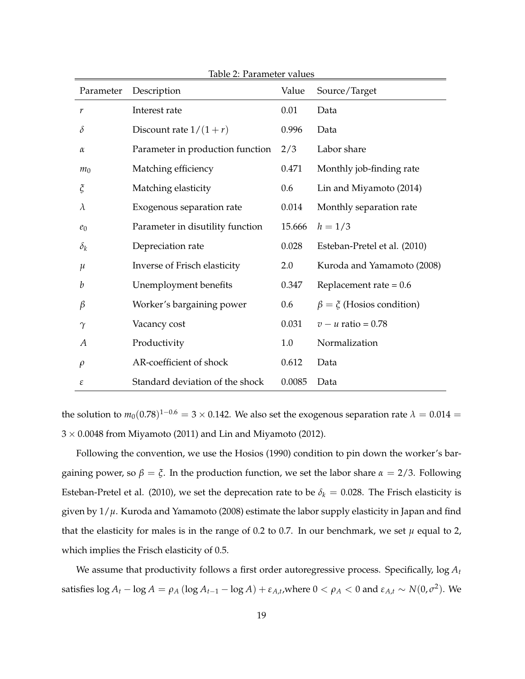| Parameter                    | Description                      | Value   | Source/Target                    |
|------------------------------|----------------------------------|---------|----------------------------------|
| r                            | Interest rate                    | 0.01    | Data                             |
| $\delta$                     | Discount rate $1/(1+r)$          | 0.996   | Data                             |
| $\alpha$                     | Parameter in production function | 2/3     | Labor share                      |
| m <sub>0</sub>               | Matching efficiency              | 0.471   | Monthly job-finding rate         |
| $\boldsymbol{\tilde{\zeta}}$ | Matching elasticity              | 0.6     | Lin and Miyamoto (2014)          |
| $\lambda$                    | Exogenous separation rate        | 0.014   | Monthly separation rate          |
| $e_0$                        | Parameter in disutility function | 15.666  | $h = 1/3$                        |
| $\delta_k$                   | Depreciation rate                | 0.028   | Esteban-Pretel et al. (2010)     |
| $\mu$                        | Inverse of Frisch elasticity     | 2.0     | Kuroda and Yamamoto (2008)       |
| b                            | Unemployment benefits            | 0.347   | Replacement rate = $0.6$         |
| $\beta$                      | Worker's bargaining power        | $0.6\,$ | $\beta = \xi$ (Hosios condition) |
| $\gamma$                     | Vacancy cost                     | 0.031   | $v - u$ ratio = 0.78             |
| $\overline{A}$               | Productivity                     | 1.0     | Normalization                    |
| $\rho$                       | AR-coefficient of shock          | 0.612   | Data                             |
| $\boldsymbol{\varepsilon}$   | Standard deviation of the shock  | 0.0085  | Data                             |

Table 2: Parameter values

the solution to  $m_0(0.78)^{1-0.6} = 3 \times 0.142$ . We also set the exogenous separation rate  $\lambda = 0.014 =$  $3 \times 0.0048$  from Miyamoto (2011) and Lin and Miyamoto (2012).

Following the convention, we use the Hosios (1990) condition to pin down the worker's bargaining power, so  $\beta = \xi$ . In the production function, we set the labor share  $\alpha = 2/3$ . Following Esteban-Pretel et al. (2010), we set the deprecation rate to be  $\delta_k = 0.028$ . The Frisch elasticity is given by 1/*µ*. Kuroda and Yamamoto (2008) estimate the labor supply elasticity in Japan and find that the elasticity for males is in the range of 0.2 to 0.7. In our benchmark, we set  $\mu$  equal to 2, which implies the Frisch elasticity of 0.5.

We assume that productivity follows a first order autoregressive process. Specifically, log *A<sup>t</sup>* satisfies  $\log A_t - \log A = \rho_A (\log A_{t-1} - \log A) + \varepsilon_{A,t}$ , where  $0 < \rho_A < 0$  and  $\varepsilon_{A,t} \sim N(0, \sigma^2)$ . We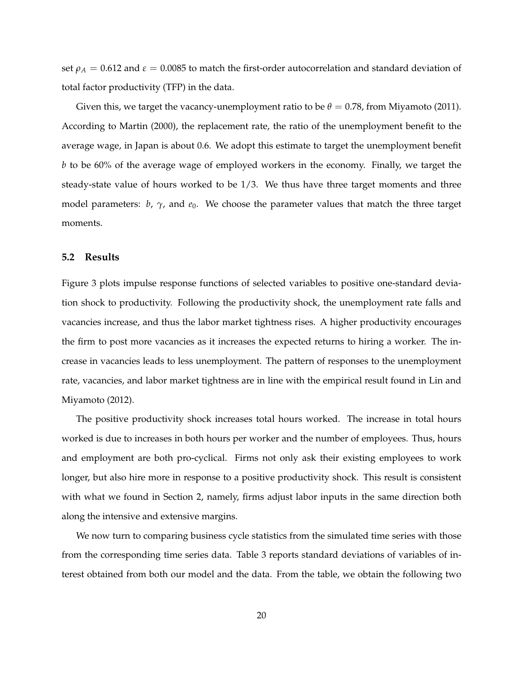set  $\rho_A = 0.612$  and  $\varepsilon = 0.0085$  to match the first-order autocorrelation and standard deviation of total factor productivity (TFP) in the data.

Given this, we target the vacancy-unemployment ratio to be  $\theta = 0.78$ , from Miyamoto (2011). According to Martin (2000), the replacement rate, the ratio of the unemployment benefit to the average wage, in Japan is about 0.6. We adopt this estimate to target the unemployment benefit *b* to be 60% of the average wage of employed workers in the economy. Finally, we target the steady-state value of hours worked to be 1/3. We thus have three target moments and three model parameters: *b*, *γ*, and *e*0. We choose the parameter values that match the three target moments.

#### **5.2 Results**

Figure 3 plots impulse response functions of selected variables to positive one-standard deviation shock to productivity. Following the productivity shock, the unemployment rate falls and vacancies increase, and thus the labor market tightness rises. A higher productivity encourages the firm to post more vacancies as it increases the expected returns to hiring a worker. The increase in vacancies leads to less unemployment. The pattern of responses to the unemployment rate, vacancies, and labor market tightness are in line with the empirical result found in Lin and Miyamoto (2012).

The positive productivity shock increases total hours worked. The increase in total hours worked is due to increases in both hours per worker and the number of employees. Thus, hours and employment are both pro-cyclical. Firms not only ask their existing employees to work longer, but also hire more in response to a positive productivity shock. This result is consistent with what we found in Section 2, namely, firms adjust labor inputs in the same direction both along the intensive and extensive margins.

We now turn to comparing business cycle statistics from the simulated time series with those from the corresponding time series data. Table 3 reports standard deviations of variables of interest obtained from both our model and the data. From the table, we obtain the following two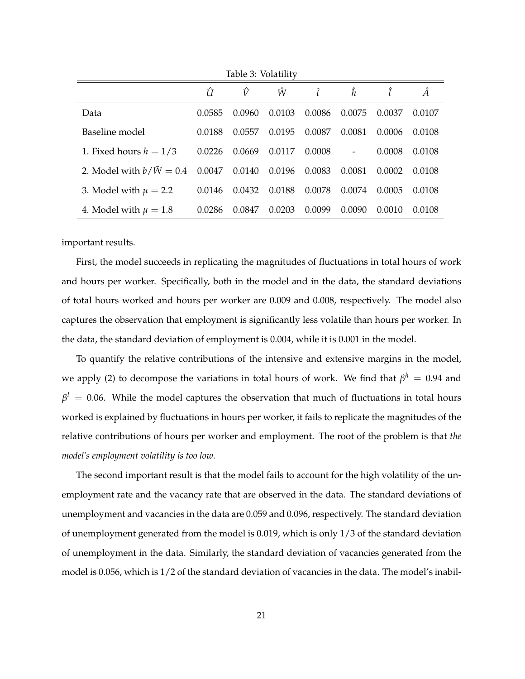|                           | Û      | Ŷ      | Ŵ      | Î      | ĥ                        |        | Â      |
|---------------------------|--------|--------|--------|--------|--------------------------|--------|--------|
| Data                      | 0.0585 | 0.0960 | 0.0103 | 0.0086 | 0.0075                   | 0.0037 | 0.0107 |
| Baseline model            | 0.0188 | 0.0557 | 0.0195 | 0.0087 | 0.0081                   | 0.0006 | 0.0108 |
| 1. Fixed hours $h = 1/3$  | 0.0226 | 0.0669 | 0.0117 | 0.0008 | $\overline{\phantom{a}}$ | 0.0008 | 0.0108 |
| 2. Model with $b/W = 0.4$ | 0.0047 | 0.0140 | 0.0196 | 0.0083 | 0.0081                   | 0.0002 | 0.0108 |
| 3. Model with $\mu = 2.2$ | 0.0146 | 0.0432 | 0.0188 | 0.0078 | 0.0074                   | 0.0005 | 0.0108 |
| 4. Model with $\mu = 1.8$ | 0.0286 | 0.0847 | 0.0203 | 0.0099 | 0.0090                   | 0.0010 | 0.0108 |

Table 3: Volatility

important results.

First, the model succeeds in replicating the magnitudes of fluctuations in total hours of work and hours per worker. Specifically, both in the model and in the data, the standard deviations of total hours worked and hours per worker are 0.009 and 0.008, respectively. The model also captures the observation that employment is significantly less volatile than hours per worker. In the data, the standard deviation of employment is 0.004, while it is 0.001 in the model.

To quantify the relative contributions of the intensive and extensive margins in the model, we apply (2) to decompose the variations in total hours of work. We find that  $\beta^h\,=\,0.94$  and  $\beta^l\,=\,0.06.$  While the model captures the observation that much of fluctuations in total hours worked is explained by fluctuations in hours per worker, it fails to replicate the magnitudes of the relative contributions of hours per worker and employment. The root of the problem is that *the model's employment volatility is too low*.

The second important result is that the model fails to account for the high volatility of the unemployment rate and the vacancy rate that are observed in the data. The standard deviations of unemployment and vacancies in the data are 0.059 and 0.096, respectively. The standard deviation of unemployment generated from the model is 0.019, which is only 1/3 of the standard deviation of unemployment in the data. Similarly, the standard deviation of vacancies generated from the model is 0.056, which is 1/2 of the standard deviation of vacancies in the data. The model's inabil-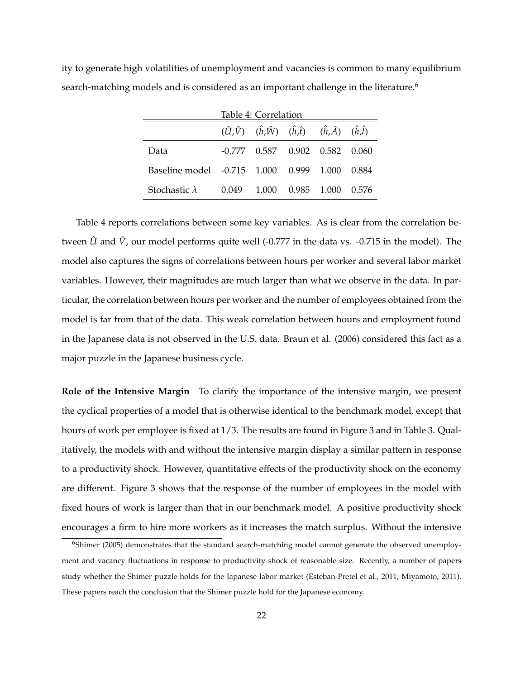| Table 4: Correlation        |         |                                                                                                          |       |       |       |  |  |
|-----------------------------|---------|----------------------------------------------------------------------------------------------------------|-------|-------|-------|--|--|
|                             |         | $(\hat{U}, \hat{V})$ $(\hat{h}, \hat{W})$ $(\hat{h}, \hat{t})$ $(\hat{h}, \hat{A})$ $(\hat{h}, \hat{l})$ |       |       |       |  |  |
| Data                        |         | $-0.777$ $0.587$ $0.902$ $0.582$ $0.060$                                                                 |       |       |       |  |  |
| Baseline model -0.715 1.000 |         |                                                                                                          | 0.999 | 1.000 | 0.884 |  |  |
| Stochastic $\lambda$        | (1.049) | 1.000                                                                                                    | 0.985 | 1.000 | 0.576 |  |  |

ity to generate high volatilities of unemployment and vacancies is common to many equilibrium search-matching models and is considered as an important challenge in the literature.<sup>6</sup>

Table 4 reports correlations between some key variables. As is clear from the correlation between  $\hat{U}$  and  $\hat{V}$ , our model performs quite well (-0.777 in the data vs. -0.715 in the model). The model also captures the signs of correlations between hours per worker and several labor market variables. However, their magnitudes are much larger than what we observe in the data. In particular, the correlation between hours per worker and the number of employees obtained from the model is far from that of the data. This weak correlation between hours and employment found in the Japanese data is not observed in the U.S. data. Braun et al. (2006) considered this fact as a major puzzle in the Japanese business cycle.

**Role of the Intensive Margin** To clarify the importance of the intensive margin, we present the cyclical properties of a model that is otherwise identical to the benchmark model, except that hours of work per employee is fixed at 1/3. The results are found in Figure 3 and in Table 3. Qualitatively, the models with and without the intensive margin display a similar pattern in response to a productivity shock. However, quantitative effects of the productivity shock on the economy are different. Figure 3 shows that the response of the number of employees in the model with fixed hours of work is larger than that in our benchmark model. A positive productivity shock encourages a firm to hire more workers as it increases the match surplus. Without the intensive

<sup>6</sup>Shimer (2005) demonstrates that the standard search-matching model cannot generate the observed unemployment and vacancy fluctuations in response to productivity shock of reasonable size. Recently, a number of papers study whether the Shimer puzzle holds for the Japanese labor market (Esteban-Pretel et al., 2011; Miyamoto, 2011). These papers reach the conclusion that the Shimer puzzle hold for the Japanese economy.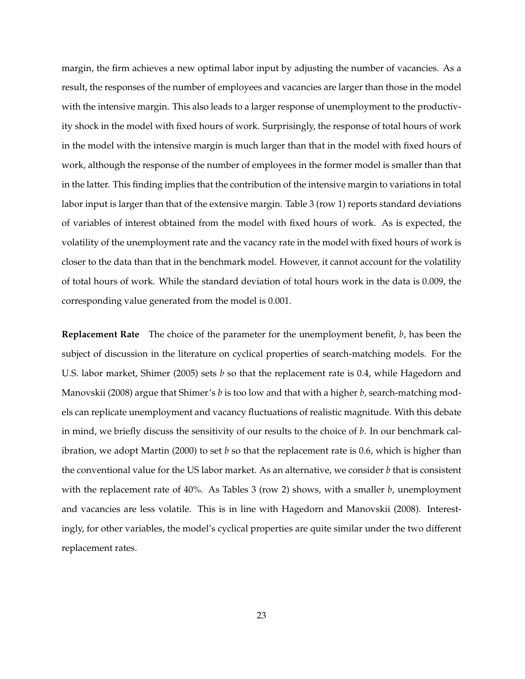margin, the firm achieves a new optimal labor input by adjusting the number of vacancies. As a result, the responses of the number of employees and vacancies are larger than those in the model with the intensive margin. This also leads to a larger response of unemployment to the productivity shock in the model with fixed hours of work. Surprisingly, the response of total hours of work in the model with the intensive margin is much larger than that in the model with fixed hours of work, although the response of the number of employees in the former model is smaller than that in the latter. This finding implies that the contribution of the intensive margin to variations in total labor input is larger than that of the extensive margin. Table 3 (row 1) reports standard deviations of variables of interest obtained from the model with fixed hours of work. As is expected, the volatility of the unemployment rate and the vacancy rate in the model with fixed hours of work is closer to the data than that in the benchmark model. However, it cannot account for the volatility of total hours of work. While the standard deviation of total hours work in the data is 0.009, the corresponding value generated from the model is 0.001.

**Replacement Rate** The choice of the parameter for the unemployment benefit, *b*, has been the subject of discussion in the literature on cyclical properties of search-matching models. For the U.S. labor market, Shimer (2005) sets *b* so that the replacement rate is 0.4, while Hagedorn and Manovskii (2008) argue that Shimer's *b* is too low and that with a higher *b*, search-matching models can replicate unemployment and vacancy fluctuations of realistic magnitude. With this debate in mind, we briefly discuss the sensitivity of our results to the choice of *b*. In our benchmark calibration, we adopt Martin (2000) to set *b* so that the replacement rate is 0.6, which is higher than the conventional value for the US labor market. As an alternative, we consider *b* that is consistent with the replacement rate of 40%. As Tables 3 (row 2) shows, with a smaller *b*, unemployment and vacancies are less volatile. This is in line with Hagedorn and Manovskii (2008). Interestingly, for other variables, the model's cyclical properties are quite similar under the two different replacement rates.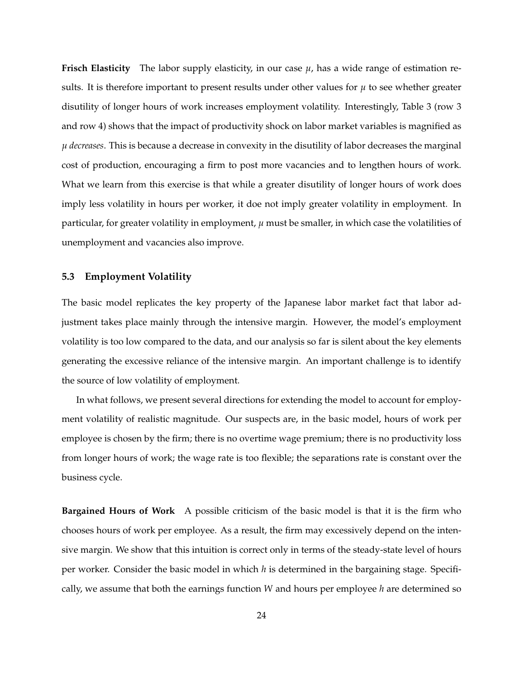**Frisch Elasticity** The labor supply elasticity, in our case  $\mu$ , has a wide range of estimation results. It is therefore important to present results under other values for  $\mu$  to see whether greater disutility of longer hours of work increases employment volatility. Interestingly, Table 3 (row 3 and row 4) shows that the impact of productivity shock on labor market variables is magnified as *µ decreases*. This is because a decrease in convexity in the disutility of labor decreases the marginal cost of production, encouraging a firm to post more vacancies and to lengthen hours of work. What we learn from this exercise is that while a greater disutility of longer hours of work does imply less volatility in hours per worker, it doe not imply greater volatility in employment. In particular, for greater volatility in employment, *µ* must be smaller, in which case the volatilities of unemployment and vacancies also improve.

#### **5.3 Employment Volatility**

The basic model replicates the key property of the Japanese labor market fact that labor adjustment takes place mainly through the intensive margin. However, the model's employment volatility is too low compared to the data, and our analysis so far is silent about the key elements generating the excessive reliance of the intensive margin. An important challenge is to identify the source of low volatility of employment.

In what follows, we present several directions for extending the model to account for employment volatility of realistic magnitude. Our suspects are, in the basic model, hours of work per employee is chosen by the firm; there is no overtime wage premium; there is no productivity loss from longer hours of work; the wage rate is too flexible; the separations rate is constant over the business cycle.

**Bargained Hours of Work** A possible criticism of the basic model is that it is the firm who chooses hours of work per employee. As a result, the firm may excessively depend on the intensive margin. We show that this intuition is correct only in terms of the steady-state level of hours per worker. Consider the basic model in which *h* is determined in the bargaining stage. Specifically, we assume that both the earnings function *W* and hours per employee *h* are determined so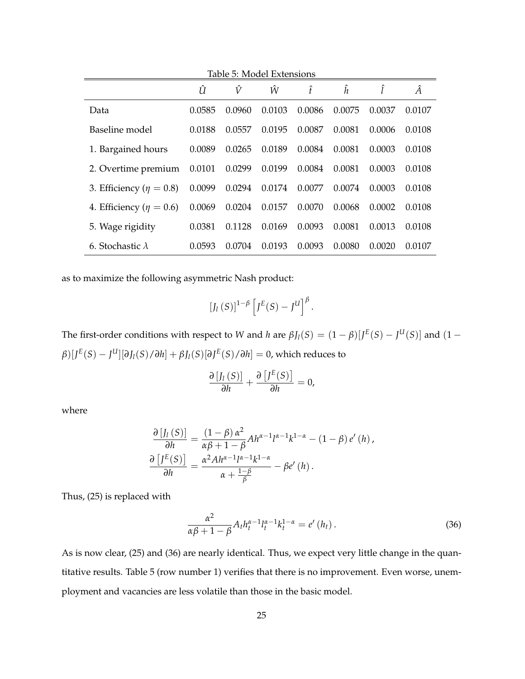| Table 5: Model Extensions      |        |        |        |        |        |        |        |  |
|--------------------------------|--------|--------|--------|--------|--------|--------|--------|--|
|                                | Û      | Ŷ      | Ŵ      | î      | ĥ      |        | Â      |  |
| Data                           | 0.0585 | 0.0960 | 0.0103 | 0.0086 | 0.0075 | 0.0037 | 0.0107 |  |
| Baseline model                 | 0.0188 | 0.0557 | 0.0195 | 0.0087 | 0.0081 | 0.0006 | 0.0108 |  |
| 1. Bargained hours             | 0.0089 | 0.0265 | 0.0189 | 0.0084 | 0.0081 | 0.0003 | 0.0108 |  |
| 2. Overtime premium            | 0.0101 | 0.0299 | 0.0199 | 0.0084 | 0.0081 | 0.0003 | 0.0108 |  |
| 3. Efficiency ( $\eta = 0.8$ ) | 0.0099 | 0.0294 | 0.0174 | 0.0077 | 0.0074 | 0.0003 | 0.0108 |  |
| 4. Efficiency ( $\eta = 0.6$ ) | 0.0069 | 0.0204 | 0.0157 | 0.0070 | 0.0068 | 0.0002 | 0.0108 |  |
| 5. Wage rigidity               | 0.0381 | 0.1128 | 0.0169 | 0.0093 | 0.0081 | 0.0013 | 0.0108 |  |
| 6. Stochastic $\lambda$        | 0.0593 | 0.0704 | 0.0193 | 0.0093 | 0.0080 | 0.0020 | 0.0107 |  |

as to maximize the following asymmetric Nash product:

$$
\left[J_l\left(S\right)\right]^{1-\beta}\left[J^E(S)-J^U\right]^{\beta}.
$$

The first-order conditions with respect to *W* and *h* are  $\beta J_l(S) = (1 - \beta)[J^E(S) - J^U(S)]$  and  $(1 - \beta)J^E(S)$  $\beta$ )[ $J^{E}(S) - J^{U}$ ][ $\partial J_{I}(S)/\partial h$ ] +  $\beta J_{I}(S)$ [ $\partial J^{E}(S)/\partial h$ ] = 0, which reduces to

$$
\frac{\partial [J_l(S)]}{\partial h} + \frac{\partial [J^E(S)]}{\partial h} = 0,
$$

where

$$
\frac{\partial [J_l(S)]}{\partial h} = \frac{(1-\beta)\alpha^2}{\alpha\beta + 1 - \beta} Ah^{\alpha-1}l^{\alpha-1}k^{1-\alpha} - (1-\beta)e'(h),
$$

$$
\frac{\partial [J^E(S)]}{\partial h} = \frac{\alpha^2 Ah^{\alpha-1}l^{\alpha-1}k^{1-\alpha}}{\alpha + \frac{1-\beta}{\beta}} - \beta e'(h).
$$

Thus, (25) is replaced with

$$
\frac{\alpha^2}{\alpha\beta + 1 - \beta} A_t h_t^{\alpha - 1} l_t^{\alpha - 1} k_t^{1 - \alpha} = e' (h_t).
$$
 (36)

As is now clear, (25) and (36) are nearly identical. Thus, we expect very little change in the quantitative results. Table 5 (row number 1) verifies that there is no improvement. Even worse, unemployment and vacancies are less volatile than those in the basic model.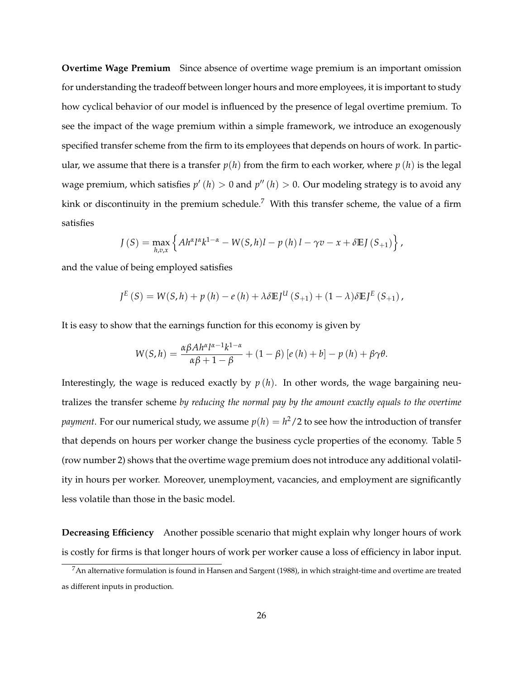**Overtime Wage Premium** Since absence of overtime wage premium is an important omission for understanding the tradeoff between longer hours and more employees, it is important to study how cyclical behavior of our model is influenced by the presence of legal overtime premium. To see the impact of the wage premium within a simple framework, we introduce an exogenously specified transfer scheme from the firm to its employees that depends on hours of work. In particular, we assume that there is a transfer  $p(h)$  from the firm to each worker, where  $p(h)$  is the legal wage premium, which satisfies  $p'\left( h\right) >0$  and  $p''\left( h\right) >0.$  Our modeling strategy is to avoid any kink or discontinuity in the premium schedule.<sup>7</sup> With this transfer scheme, the value of a firm satisfies

$$
J(S) = \max_{h,v,x} \left\{ Ah^{\alpha}l^{\alpha}k^{1-\alpha} - W(S,h)l - p(h)l - \gamma v - x + \delta \mathbb{E}J(S_{+1}) \right\},\,
$$

and the value of being employed satisfies

$$
J^{E}(S) = W(S,h) + p(h) - e(h) + \lambda \delta E J^{U}(S_{+1}) + (1 - \lambda) \delta E J^{E}(S_{+1}),
$$

It is easy to show that the earnings function for this economy is given by

$$
W(S,h) = \frac{\alpha \beta Ah^{\alpha} l^{\alpha-1} k^{1-\alpha}}{\alpha \beta + 1 - \beta} + (1 - \beta) \left[ e(h) + b \right] - p(h) + \beta \gamma \theta.
$$

Interestingly, the wage is reduced exactly by  $p(h)$ . In other words, the wage bargaining neutralizes the transfer scheme *by reducing the normal pay by the amount exactly equals to the overtime*  $payment.$  For our numerical study, we assume  $p(h)=h^2/2$  to see how the introduction of transfer that depends on hours per worker change the business cycle properties of the economy. Table 5 (row number 2) shows that the overtime wage premium does not introduce any additional volatility in hours per worker. Moreover, unemployment, vacancies, and employment are significantly less volatile than those in the basic model.

**Decreasing Efficiency** Another possible scenario that might explain why longer hours of work is costly for firms is that longer hours of work per worker cause a loss of efficiency in labor input.

 $7$ An alternative formulation is found in Hansen and Sargent (1988), in which straight-time and overtime are treated as different inputs in production.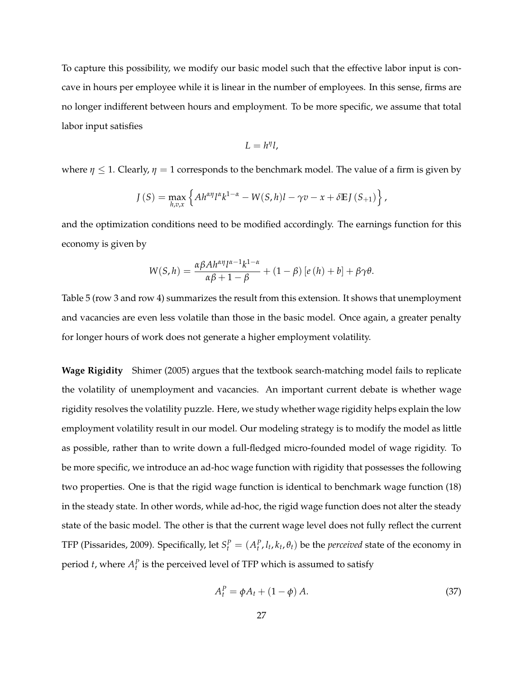To capture this possibility, we modify our basic model such that the effective labor input is concave in hours per employee while it is linear in the number of employees. In this sense, firms are no longer indifferent between hours and employment. To be more specific, we assume that total labor input satisfies

$$
L=h^{\eta}l,
$$

where  $\eta \leq 1$ . Clearly,  $\eta = 1$  corresponds to the benchmark model. The value of a firm is given by

$$
J(S) = \max_{h,v,x} \left\{ Ah^{\alpha\eta} l^{\alpha} k^{1-\alpha} - W(S,h)l - \gamma v - x + \delta \mathbb{E} J(S_{+1}) \right\},\,
$$

and the optimization conditions need to be modified accordingly. The earnings function for this economy is given by

$$
W(S,h) = \frac{\alpha \beta A h^{\alpha \eta} l^{\alpha - 1} k^{1 - \alpha}}{\alpha \beta + 1 - \beta} + (1 - \beta) [e(h) + b] + \beta \gamma \theta.
$$

Table 5 (row 3 and row 4) summarizes the result from this extension. It shows that unemployment and vacancies are even less volatile than those in the basic model. Once again, a greater penalty for longer hours of work does not generate a higher employment volatility.

**Wage Rigidity** Shimer (2005) argues that the textbook search-matching model fails to replicate the volatility of unemployment and vacancies. An important current debate is whether wage rigidity resolves the volatility puzzle. Here, we study whether wage rigidity helps explain the low employment volatility result in our model. Our modeling strategy is to modify the model as little as possible, rather than to write down a full-fledged micro-founded model of wage rigidity. To be more specific, we introduce an ad-hoc wage function with rigidity that possesses the following two properties. One is that the rigid wage function is identical to benchmark wage function (18) in the steady state. In other words, while ad-hoc, the rigid wage function does not alter the steady state of the basic model. The other is that the current wage level does not fully reflect the current TFP (Pissarides, 2009). Specifically, let  $S_t^P = (A_t^P, l_t, k_t, \theta_t)$  be the *perceived* state of the economy in period *t*, where  $A_t^P$  is the perceived level of TFP which is assumed to satisfy

$$
A_t^P = \phi A_t + (1 - \phi) A. \tag{37}
$$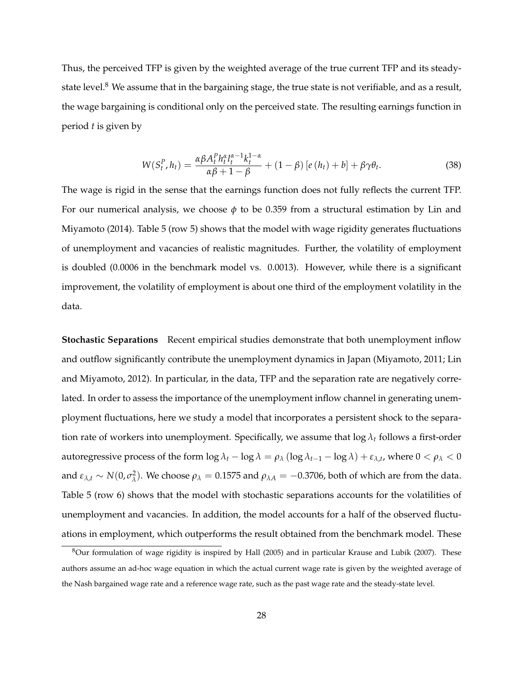Thus, the perceived TFP is given by the weighted average of the true current TFP and its steadystate level.<sup>8</sup> We assume that in the bargaining stage, the true state is not verifiable, and as a result, the wage bargaining is conditional only on the perceived state. The resulting earnings function in period *t* is given by

$$
W(S_t^P, h_t) = \frac{\alpha \beta A_t^P h_t^{\alpha} l_t^{\alpha-1} k_t^{1-\alpha}}{\alpha \beta + 1 - \beta} + (1 - \beta) \left[ e(h_t) + b \right] + \beta \gamma \theta_t.
$$
 (38)

The wage is rigid in the sense that the earnings function does not fully reflects the current TFP. For our numerical analysis, we choose *φ* to be 0.359 from a structural estimation by Lin and Miyamoto (2014). Table 5 (row 5) shows that the model with wage rigidity generates fluctuations of unemployment and vacancies of realistic magnitudes. Further, the volatility of employment is doubled (0.0006 in the benchmark model vs. 0.0013). However, while there is a significant improvement, the volatility of employment is about one third of the employment volatility in the data.

**Stochastic Separations** Recent empirical studies demonstrate that both unemployment inflow and outflow significantly contribute the unemployment dynamics in Japan (Miyamoto, 2011; Lin and Miyamoto, 2012). In particular, in the data, TFP and the separation rate are negatively correlated. In order to assess the importance of the unemployment inflow channel in generating unemployment fluctuations, here we study a model that incorporates a persistent shock to the separation rate of workers into unemployment. Specifically, we assume that  $\log \lambda_t$  follows a first-order autoregressive process of the form  $\log \lambda_t - \log \lambda = \rho_\lambda (\log \lambda_{t-1} - \log \lambda) + \varepsilon_{\lambda,t}$ , where  $0 < \rho_\lambda < 0$ and  $\varepsilon_{\lambda,t} \sim N(0, \sigma_{\lambda}^2)$ *λ*). We choose  $ρ<sub>λ</sub> = 0.1575$  and  $ρ<sub>λA</sub> = -0.3706$ , both of which are from the data. Table 5 (row 6) shows that the model with stochastic separations accounts for the volatilities of unemployment and vacancies. In addition, the model accounts for a half of the observed fluctuations in employment, which outperforms the result obtained from the benchmark model. These

<sup>8</sup>Our formulation of wage rigidity is inspired by Hall (2005) and in particular Krause and Lubik (2007). These authors assume an ad-hoc wage equation in which the actual current wage rate is given by the weighted average of the Nash bargained wage rate and a reference wage rate, such as the past wage rate and the steady-state level.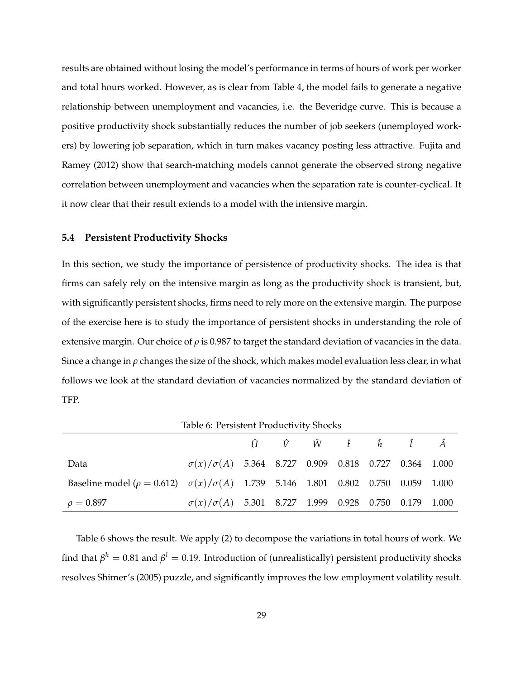results are obtained without losing the model's performance in terms of hours of work per worker and total hours worked. However, as is clear from Table 4, the model fails to generate a negative relationship between unemployment and vacancies, i.e. the Beveridge curve. This is because a positive productivity shock substantially reduces the number of job seekers (unemployed workers) by lowering job separation, which in turn makes vacancy posting less attractive. Fujita and Ramey (2012) show that search-matching models cannot generate the observed strong negative correlation between unemployment and vacancies when the separation rate is counter-cyclical. It it now clear that their result extends to a model with the intensive margin.

#### **5.4 Persistent Productivity Shocks**

In this section, we study the importance of persistence of productivity shocks. The idea is that firms can safely rely on the intensive margin as long as the productivity shock is transient, but, with significantly persistent shocks, firms need to rely more on the extensive margin. The purpose of the exercise here is to study the importance of persistent shocks in understanding the role of extensive margin. Our choice of  $\rho$  is 0.987 to target the standard deviation of vacancies in the data. Since a change in *ρ* changes the size of the shock, which makes model evaluation less clear, in what follows we look at the standard deviation of vacancies normalized by the standard deviation of TFP.

*U*ˆ *V*ˆ *W*ˆ ˆ*t* ˆ*h* ˆ *l A*ˆ Data *σ*(*x*)/*σ*(*A*) 5.364 8.727 0.909 0.818 0.727 0.364 1.000 Baseline model ( $\rho = 0.612$ )  $\sigma(x)/\sigma(A)$  1.739 5.146 1.801 0.802 0.750 0.059 1.000  $\rho = 0.897$  *σ*(*x*)/*σ*(*A*) 5.301 8.727 1.999 0.928 0.750 0.179 1.000

Table 6: Persistent Productivity Shocks

Table 6 shows the result. We apply (2) to decompose the variations in total hours of work. We find that  $\beta^h=0.81$  and  $\beta^l=0.19$ . Introduction of (unrealistically) persistent productivity shocks resolves Shimer's (2005) puzzle, and significantly improves the low employment volatility result.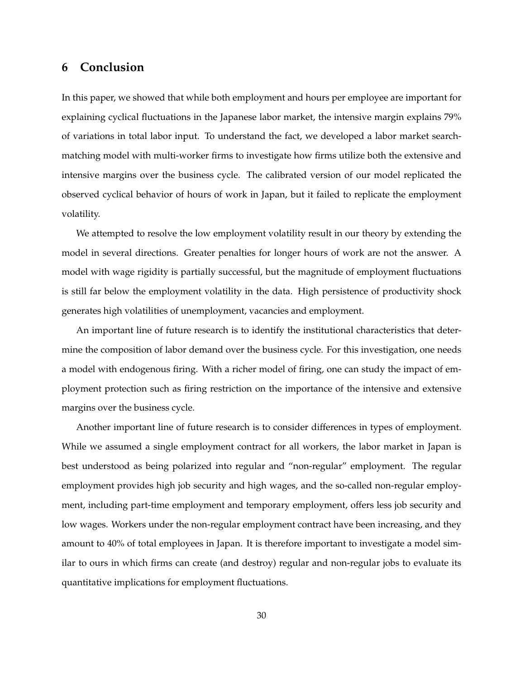## **6 Conclusion**

In this paper, we showed that while both employment and hours per employee are important for explaining cyclical fluctuations in the Japanese labor market, the intensive margin explains 79% of variations in total labor input. To understand the fact, we developed a labor market searchmatching model with multi-worker firms to investigate how firms utilize both the extensive and intensive margins over the business cycle. The calibrated version of our model replicated the observed cyclical behavior of hours of work in Japan, but it failed to replicate the employment volatility.

We attempted to resolve the low employment volatility result in our theory by extending the model in several directions. Greater penalties for longer hours of work are not the answer. A model with wage rigidity is partially successful, but the magnitude of employment fluctuations is still far below the employment volatility in the data. High persistence of productivity shock generates high volatilities of unemployment, vacancies and employment.

An important line of future research is to identify the institutional characteristics that determine the composition of labor demand over the business cycle. For this investigation, one needs a model with endogenous firing. With a richer model of firing, one can study the impact of employment protection such as firing restriction on the importance of the intensive and extensive margins over the business cycle.

Another important line of future research is to consider differences in types of employment. While we assumed a single employment contract for all workers, the labor market in Japan is best understood as being polarized into regular and "non-regular" employment. The regular employment provides high job security and high wages, and the so-called non-regular employment, including part-time employment and temporary employment, offers less job security and low wages. Workers under the non-regular employment contract have been increasing, and they amount to 40% of total employees in Japan. It is therefore important to investigate a model similar to ours in which firms can create (and destroy) regular and non-regular jobs to evaluate its quantitative implications for employment fluctuations.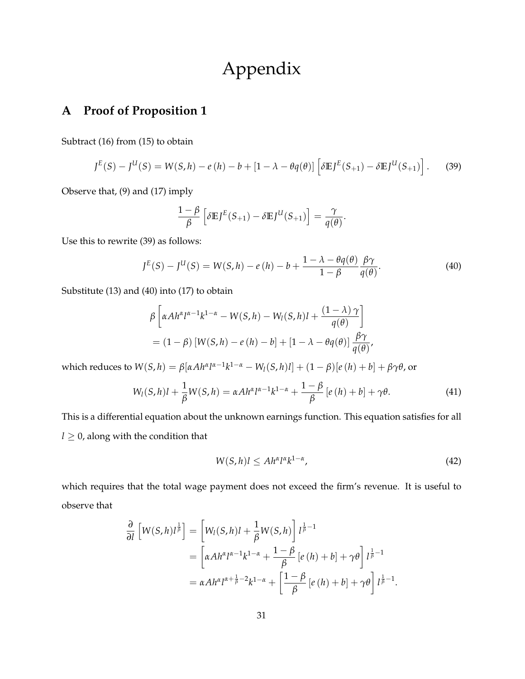# Appendix

## **A Proof of Proposition 1**

Subtract (16) from (15) to obtain

$$
J^{E}(S) - J^{U}(S) = W(S,h) - e(h) - b + [1 - \lambda - \theta q(\theta)] \left[ \delta E J^{E}(S_{+1}) - \delta E J^{U}(S_{+1}) \right].
$$
 (39)

Observe that, (9) and (17) imply

$$
\frac{1-\beta}{\beta} \left[ \delta \mathbb{E} J^E(S_{+1}) - \delta \mathbb{E} J^U(S_{+1}) \right] = \frac{\gamma}{q(\theta)}
$$

Use this to rewrite (39) as follows:

$$
J^{E}(S) - J^{U}(S) = W(S,h) - e(h) - b + \frac{1 - \lambda - \theta q(\theta)}{1 - \beta} \frac{\beta \gamma}{q(\theta)}.
$$
\n
$$
(40)
$$

.

Substitute (13) and (40) into (17) to obtain

$$
\beta \left[ \alpha Ah^{\alpha}l^{\alpha-1}k^{1-\alpha} - W(S,h) - W_l(S,h)l + \frac{(1-\lambda)\gamma}{q(\theta)} \right]
$$
  
=  $(1-\beta) [W(S,h) - e(h) - b] + [1-\lambda - \theta q(\theta)] \frac{\beta\gamma}{q(\theta)},$ 

which reduces to  $W(S,h) = \beta[\alpha Ah^{\alpha}l^{\alpha-1}k^{1-\alpha} - W_l(S,h)l] + (1-\beta)[e(h)+b] + \beta\gamma\theta$ , or

$$
W_l(S,h)l + \frac{1}{\beta}W(S,h) = \alpha A h^{\alpha}l^{\alpha-1}k^{1-\alpha} + \frac{1-\beta}{\beta}\left[e\left(h\right)+b\right] + \gamma \theta. \tag{41}
$$

This is a differential equation about the unknown earnings function. This equation satisfies for all  $l \geq 0$ , along with the condition that

$$
W(S,h)l \leq Ah^{\alpha}l^{\alpha}k^{1-\alpha},\tag{42}
$$

which requires that the total wage payment does not exceed the firm's revenue. It is useful to observe that

$$
\frac{\partial}{\partial l} \left[ W(S,h)l^{\frac{1}{\beta}} \right] = \left[ W_l(S,h)l + \frac{1}{\beta} W(S,h) \right] l^{\frac{1}{\beta}-1}
$$
  
\n
$$
= \left[ \alpha Ah^{\alpha}l^{\alpha-1}k^{1-\alpha} + \frac{1-\beta}{\beta} \left[ e\left( h \right) + b \right] + \gamma \theta \right] l^{\frac{1}{\beta}-1}
$$
  
\n
$$
= \alpha Ah^{\alpha}l^{\alpha+\frac{1}{\beta}-2}k^{1-\alpha} + \left[ \frac{1-\beta}{\beta} \left[ e\left( h \right) + b \right] + \gamma \theta \right] l^{\frac{1}{\beta}-1}.
$$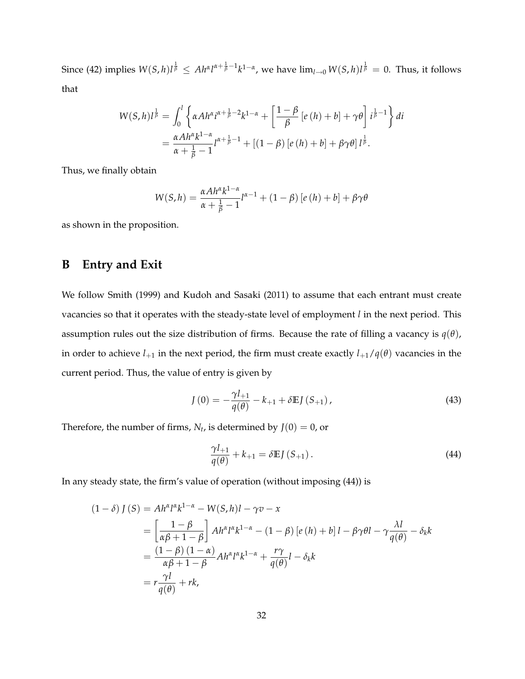Since (42) implies  $W(S,h)l^{\frac{1}{\beta}}\leq Ah^{\alpha}l^{\alpha+\frac{1}{\beta}-1}k^{1-\alpha}$ , we have  $\lim_{l\to 0}W(S,h)l^{\frac{1}{\beta}}=0$ . Thus, it follows that

$$
W(S,h)l^{\frac{1}{\beta}} = \int_0^l \left\{ \alpha Ah^{\alpha} i^{\alpha+\frac{1}{\beta}-2} k^{1-\alpha} + \left[ \frac{1-\beta}{\beta} \left[ e\left( h \right) + b \right] + \gamma \theta \right] i^{\frac{1}{\beta}-1} \right\} di
$$
  
= 
$$
\frac{\alpha Ah^{\alpha} k^{1-\alpha}}{\alpha+\frac{1}{\beta}-1} l^{\alpha+\frac{1}{\beta}-1} + \left[ (1-\beta) \left[ e\left( h \right) + b \right] + \beta \gamma \theta \right] l^{\frac{1}{\beta}}.
$$

Thus, we finally obtain

$$
W(S,h) = \frac{\alpha A h^{\alpha} k^{1-\alpha}}{\alpha + \frac{1}{\beta} - 1} l^{\alpha - 1} + (1 - \beta) [e(h) + b] + \beta \gamma \theta
$$

as shown in the proposition.

## **B Entry and Exit**

We follow Smith (1999) and Kudoh and Sasaki (2011) to assume that each entrant must create vacancies so that it operates with the steady-state level of employment *l* in the next period. This assumption rules out the size distribution of firms. Because the rate of filling a vacancy is  $q(\theta)$ , in order to achieve  $l_{+1}$  in the next period, the firm must create exactly  $l_{+1}/q(\theta)$  vacancies in the current period. Thus, the value of entry is given by

$$
J(0) = -\frac{\gamma l_{+1}}{q(\theta)} - k_{+1} + \delta E J(S_{+1}),
$$
\n(43)

Therefore, the number of firms,  $N_t$ , is determined by  $J(0)=0$ , or

$$
\frac{\gamma l_{+1}}{q(\theta)} + k_{+1} = \delta \mathbb{E} J(S_{+1}). \tag{44}
$$

In any steady state, the firm's value of operation (without imposing (44)) is

$$
(1 - \delta) J(S) = Ah^{\alpha} l^{\alpha} k^{1 - \alpha} - W(S, h)l - \gamma v - x
$$
  
=  $\left[ \frac{1 - \beta}{\alpha \beta + 1 - \beta} \right] Ah^{\alpha} l^{\alpha} k^{1 - \alpha} - (1 - \beta) [e(h) + b] l - \beta \gamma \theta l - \gamma \frac{\lambda l}{q(\theta)} - \delta_k k$   
=  $\frac{(1 - \beta) (1 - \alpha)}{\alpha \beta + 1 - \beta} Ah^{\alpha} l^{\alpha} k^{1 - \alpha} + \frac{r\gamma}{q(\theta)} l - \delta_k k$   
=  $r \frac{\gamma l}{q(\theta)} + rk$ ,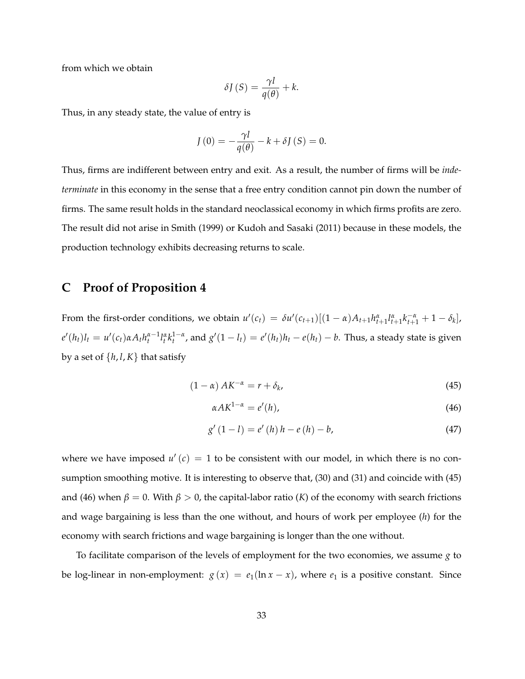from which we obtain

$$
\delta J(S) = \frac{\gamma l}{q(\theta)} + k.
$$

Thus, in any steady state, the value of entry is

$$
J(0) = -\frac{\gamma l}{q(\theta)} - k + \delta J(S) = 0.
$$

Thus, firms are indifferent between entry and exit. As a result, the number of firms will be *indeterminate* in this economy in the sense that a free entry condition cannot pin down the number of firms. The same result holds in the standard neoclassical economy in which firms profits are zero. The result did not arise in Smith (1999) or Kudoh and Sasaki (2011) because in these models, the production technology exhibits decreasing returns to scale.

### **C Proof of Proposition 4**

From the first-order conditions, we obtain  $u'(c_t) = \delta u'(c_{t+1})[(1-\alpha)A_{t+1}h_{t+1}^{\alpha}l_{t+1}^{\alpha}k_{t+1}^{-\alpha} + 1 - \delta_k]$ ,  $e'(h_t)l_t = u'(c_t)\alpha A_t h_t^{\alpha-1}l_t^{\alpha}k_t^{1-\alpha}$ , and  $g'(1-l_t) = e'(h_t)h_t - e(h_t) - b$ . Thus, a steady state is given by a set of  $\{h, l, K\}$  that satisfy

$$
(1 - \alpha) AK^{-\alpha} = r + \delta_k,
$$
\n(45)

$$
\alpha A K^{1-\alpha} = e'(h),\tag{46}
$$

$$
g'(1-l) = e'(h) h - e(h) - b,
$$
\n(47)

where we have imposed  $u'(c) = 1$  to be consistent with our model, in which there is no consumption smoothing motive. It is interesting to observe that, (30) and (31) and coincide with (45) and (46) when  $\beta = 0$ . With  $\beta > 0$ , the capital-labor ratio (*K*) of the economy with search frictions and wage bargaining is less than the one without, and hours of work per employee (*h*) for the economy with search frictions and wage bargaining is longer than the one without.

To facilitate comparison of the levels of employment for the two economies, we assume *g* to be log-linear in non-employment:  $g(x) = e_1(\ln x - x)$ , where  $e_1$  is a positive constant. Since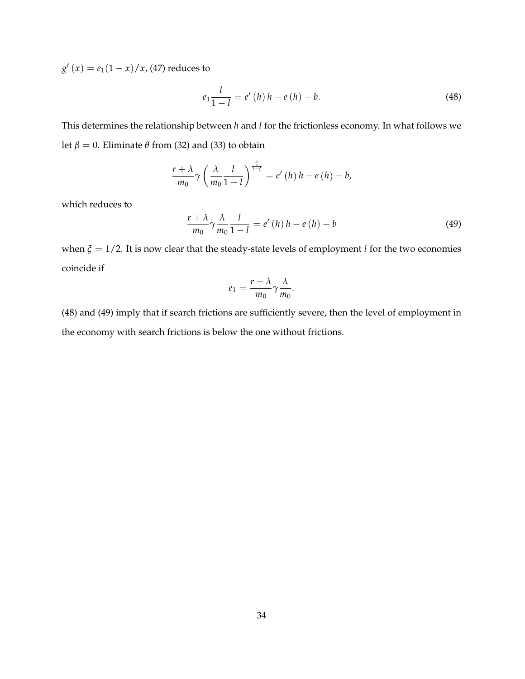$g'(x) = e_1(1-x)/x$ , (47) reduces to

$$
e_1 \frac{l}{1-l} = e'(h) h - e(h) - b. \tag{48}
$$

This determines the relationship between *h* and *l* for the frictionless economy. In what follows we let  $\beta = 0$ . Eliminate  $\theta$  from (32) and (33) to obtain

$$
\frac{r+\lambda}{m_0}\gamma\left(\frac{\lambda}{m_0}\frac{l}{1-l}\right)^{\frac{\zeta}{1-\zeta}}=e'\left(h\right)h-e\left(h\right)-b,
$$

which reduces to

$$
\frac{r+\lambda}{m_0}\gamma\frac{\lambda}{m_0}\frac{l}{1-l} = e'\left(h\right)h - e\left(h\right) - b\tag{49}
$$

when *ξ* = 1/2. It is now clear that the steady-state levels of employment *l* for the two economies coincide if

$$
e_1=\frac{r+\lambda}{m_0}\gamma\frac{\lambda}{m_0}.
$$

(48) and (49) imply that if search frictions are sufficiently severe, then the level of employment in the economy with search frictions is below the one without frictions.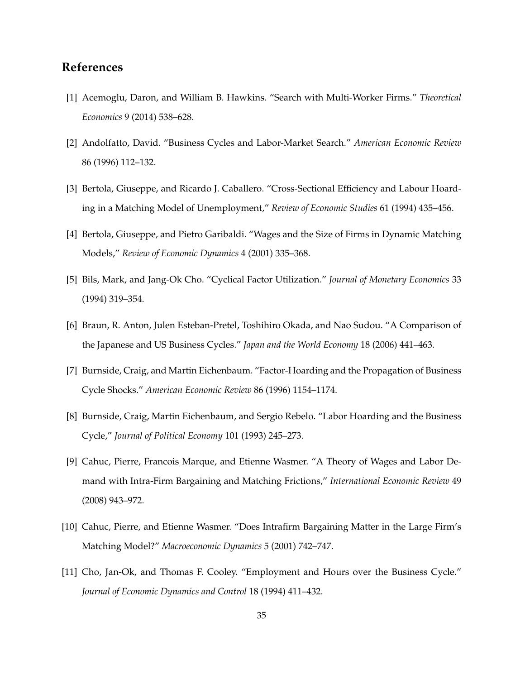## **References**

- [1] Acemoglu, Daron, and William B. Hawkins. "Search with Multi-Worker Firms." *Theoretical Economics* 9 (2014) 538–628.
- [2] Andolfatto, David. "Business Cycles and Labor-Market Search." *American Economic Review* 86 (1996) 112–132.
- [3] Bertola, Giuseppe, and Ricardo J. Caballero. "Cross-Sectional Efficiency and Labour Hoarding in a Matching Model of Unemployment," *Review of Economic Studies* 61 (1994) 435–456.
- [4] Bertola, Giuseppe, and Pietro Garibaldi. "Wages and the Size of Firms in Dynamic Matching Models," *Review of Economic Dynamics* 4 (2001) 335–368.
- [5] Bils, Mark, and Jang-Ok Cho. "Cyclical Factor Utilization." *Journal of Monetary Economics* 33 (1994) 319–354.
- [6] Braun, R. Anton, Julen Esteban-Pretel, Toshihiro Okada, and Nao Sudou. "A Comparison of the Japanese and US Business Cycles." *Japan and the World Economy* 18 (2006) 441–463.
- [7] Burnside, Craig, and Martin Eichenbaum. "Factor-Hoarding and the Propagation of Business Cycle Shocks." *American Economic Review* 86 (1996) 1154–1174.
- [8] Burnside, Craig, Martin Eichenbaum, and Sergio Rebelo. "Labor Hoarding and the Business Cycle," *Journal of Political Economy* 101 (1993) 245–273.
- [9] Cahuc, Pierre, Francois Marque, and Etienne Wasmer. "A Theory of Wages and Labor Demand with Intra-Firm Bargaining and Matching Frictions," *International Economic Review* 49 (2008) 943–972.
- [10] Cahuc, Pierre, and Etienne Wasmer. "Does Intrafirm Bargaining Matter in the Large Firm's Matching Model?" *Macroeconomic Dynamics* 5 (2001) 742–747.
- [11] Cho, Jan-Ok, and Thomas F. Cooley. "Employment and Hours over the Business Cycle." *Journal of Economic Dynamics and Control* 18 (1994) 411–432.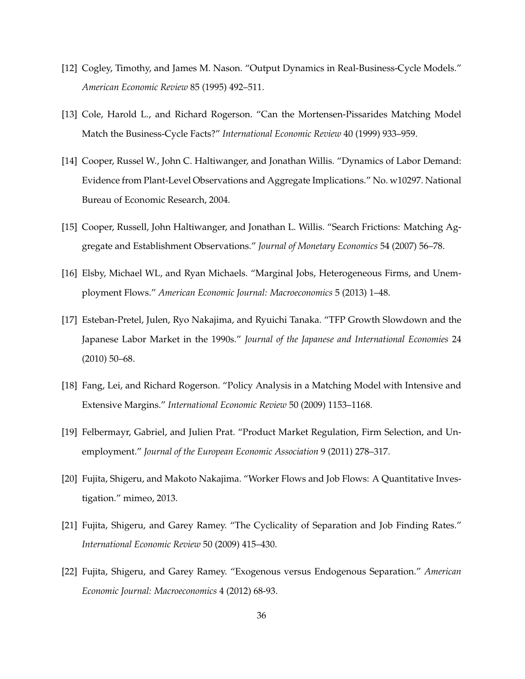- [12] Cogley, Timothy, and James M. Nason. "Output Dynamics in Real-Business-Cycle Models." *American Economic Review* 85 (1995) 492–511.
- [13] Cole, Harold L., and Richard Rogerson. "Can the Mortensen-Pissarides Matching Model Match the Business-Cycle Facts?" *International Economic Review* 40 (1999) 933–959.
- [14] Cooper, Russel W., John C. Haltiwanger, and Jonathan Willis. "Dynamics of Labor Demand: Evidence from Plant-Level Observations and Aggregate Implications." No. w10297. National Bureau of Economic Research, 2004.
- [15] Cooper, Russell, John Haltiwanger, and Jonathan L. Willis. "Search Frictions: Matching Aggregate and Establishment Observations." *Journal of Monetary Economics* 54 (2007) 56–78.
- [16] Elsby, Michael WL, and Ryan Michaels. "Marginal Jobs, Heterogeneous Firms, and Unemployment Flows." *American Economic Journal: Macroeconomics* 5 (2013) 1–48.
- [17] Esteban-Pretel, Julen, Ryo Nakajima, and Ryuichi Tanaka. "TFP Growth Slowdown and the Japanese Labor Market in the 1990s." *Journal of the Japanese and International Economies* 24 (2010) 50–68.
- [18] Fang, Lei, and Richard Rogerson. "Policy Analysis in a Matching Model with Intensive and Extensive Margins." *International Economic Review* 50 (2009) 1153–1168.
- [19] Felbermayr, Gabriel, and Julien Prat. "Product Market Regulation, Firm Selection, and Unemployment." *Journal of the European Economic Association* 9 (2011) 278–317.
- [20] Fujita, Shigeru, and Makoto Nakajima. "Worker Flows and Job Flows: A Quantitative Investigation." mimeo, 2013.
- [21] Fujita, Shigeru, and Garey Ramey. "The Cyclicality of Separation and Job Finding Rates." *International Economic Review* 50 (2009) 415–430.
- [22] Fujita, Shigeru, and Garey Ramey. "Exogenous versus Endogenous Separation." *American Economic Journal: Macroeconomics* 4 (2012) 68-93.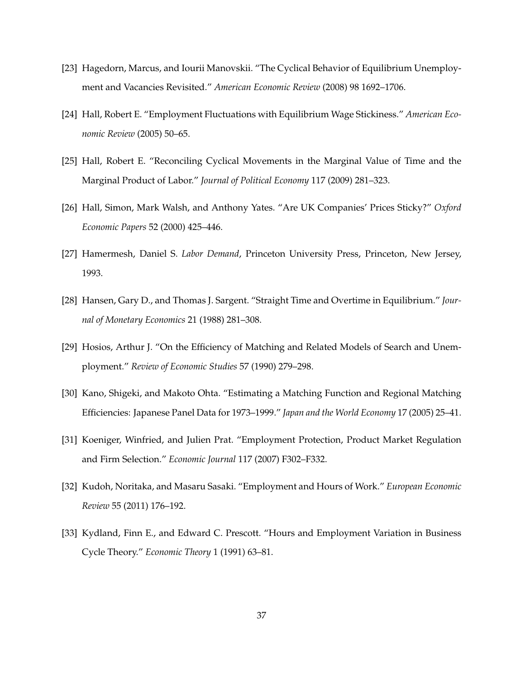- [23] Hagedorn, Marcus, and Iourii Manovskii. "The Cyclical Behavior of Equilibrium Unemployment and Vacancies Revisited." *American Economic Review* (2008) 98 1692–1706.
- [24] Hall, Robert E. "Employment Fluctuations with Equilibrium Wage Stickiness." *American Economic Review* (2005) 50–65.
- [25] Hall, Robert E. "Reconciling Cyclical Movements in the Marginal Value of Time and the Marginal Product of Labor." *Journal of Political Economy* 117 (2009) 281–323.
- [26] Hall, Simon, Mark Walsh, and Anthony Yates. "Are UK Companies' Prices Sticky?" *Oxford Economic Papers* 52 (2000) 425–446.
- [27] Hamermesh, Daniel S. *Labor Demand*, Princeton University Press, Princeton, New Jersey, 1993.
- [28] Hansen, Gary D., and Thomas J. Sargent. "Straight Time and Overtime in Equilibrium." *Journal of Monetary Economics* 21 (1988) 281–308.
- [29] Hosios, Arthur J. "On the Efficiency of Matching and Related Models of Search and Unemployment." *Review of Economic Studies* 57 (1990) 279–298.
- [30] Kano, Shigeki, and Makoto Ohta. "Estimating a Matching Function and Regional Matching Efficiencies: Japanese Panel Data for 1973–1999." *Japan and the World Economy* 17 (2005) 25–41.
- [31] Koeniger, Winfried, and Julien Prat. "Employment Protection, Product Market Regulation and Firm Selection." *Economic Journal* 117 (2007) F302–F332.
- [32] Kudoh, Noritaka, and Masaru Sasaki. "Employment and Hours of Work." *European Economic Review* 55 (2011) 176–192.
- [33] Kydland, Finn E., and Edward C. Prescott. "Hours and Employment Variation in Business Cycle Theory." *Economic Theory* 1 (1991) 63–81.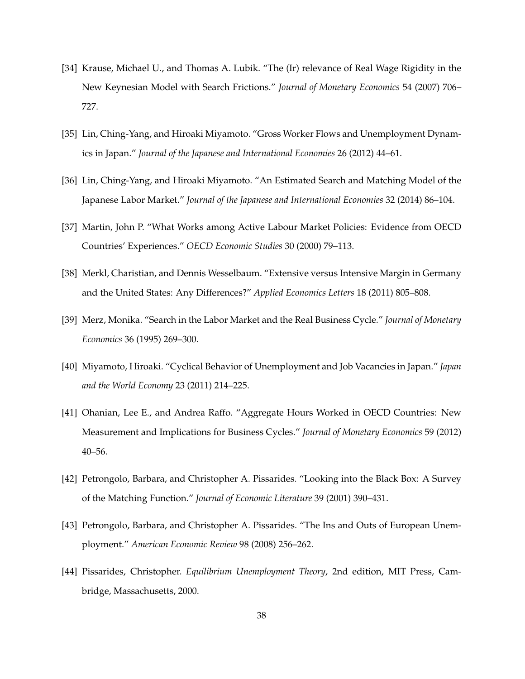- [34] Krause, Michael U., and Thomas A. Lubik. "The (Ir) relevance of Real Wage Rigidity in the New Keynesian Model with Search Frictions." *Journal of Monetary Economics* 54 (2007) 706– 727.
- [35] Lin, Ching-Yang, and Hiroaki Miyamoto. "Gross Worker Flows and Unemployment Dynamics in Japan." *Journal of the Japanese and International Economies* 26 (2012) 44–61.
- [36] Lin, Ching-Yang, and Hiroaki Miyamoto. "An Estimated Search and Matching Model of the Japanese Labor Market." *Journal of the Japanese and International Economies* 32 (2014) 86–104.
- [37] Martin, John P. "What Works among Active Labour Market Policies: Evidence from OECD Countries' Experiences." *OECD Economic Studies* 30 (2000) 79–113.
- [38] Merkl, Charistian, and Dennis Wesselbaum. "Extensive versus Intensive Margin in Germany and the United States: Any Differences?" *Applied Economics Letters* 18 (2011) 805–808.
- [39] Merz, Monika. "Search in the Labor Market and the Real Business Cycle." *Journal of Monetary Economics* 36 (1995) 269–300.
- [40] Miyamoto, Hiroaki. "Cyclical Behavior of Unemployment and Job Vacancies in Japan." *Japan and the World Economy* 23 (2011) 214–225.
- [41] Ohanian, Lee E., and Andrea Raffo. "Aggregate Hours Worked in OECD Countries: New Measurement and Implications for Business Cycles." *Journal of Monetary Economics* 59 (2012) 40–56.
- [42] Petrongolo, Barbara, and Christopher A. Pissarides. "Looking into the Black Box: A Survey of the Matching Function." *Journal of Economic Literature* 39 (2001) 390–431.
- [43] Petrongolo, Barbara, and Christopher A. Pissarides. "The Ins and Outs of European Unemployment." *American Economic Review* 98 (2008) 256–262.
- [44] Pissarides, Christopher. *Equilibrium Unemployment Theory*, 2nd edition, MIT Press, Cambridge, Massachusetts, 2000.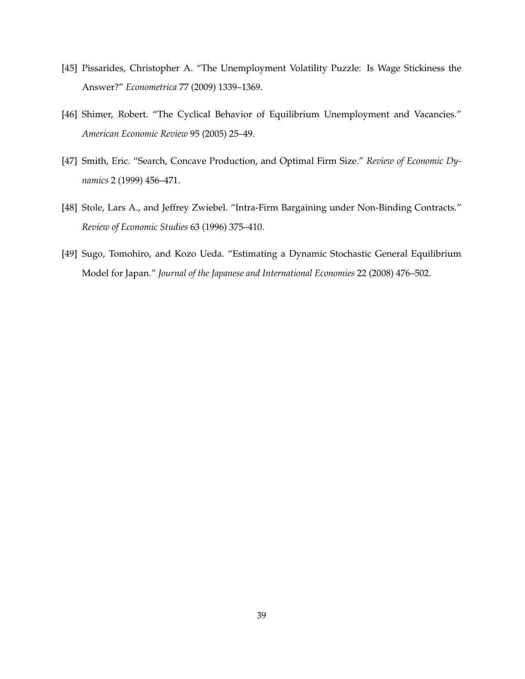- [45] Pissarides, Christopher A. "The Unemployment Volatility Puzzle: Is Wage Stickiness the Answer?" *Econometrica* 77 (2009) 1339–1369.
- [46] Shimer, Robert. "The Cyclical Behavior of Equilibrium Unemployment and Vacancies." *American Economic Review* 95 (2005) 25–49.
- [47] Smith, Eric. "Search, Concave Production, and Optimal Firm Size." *Review of Economic Dynamics* 2 (1999) 456–471.
- [48] Stole, Lars A., and Jeffrey Zwiebel. "Intra-Firm Bargaining under Non-Binding Contracts." *Review of Economic Studies* 63 (1996) 375–410.
- [49] Sugo, Tomohiro, and Kozo Ueda. "Estimating a Dynamic Stochastic General Equilibrium Model for Japan." *Journal of the Japanese and International Economies* 22 (2008) 476–502.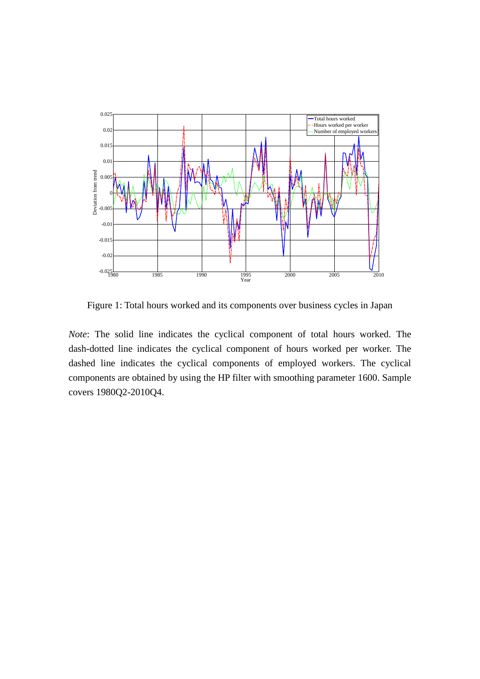

Figure 1: Total hours worked and its components over business cycles in Japan

*Note*: The solid line indicates the cyclical component of total hours worked. The dash-dotted line indicates the cyclical component of hours worked per worker. The dashed line indicates the cyclical components of employed workers. The cyclical components are obtained by using the HP filter with smoothing parameter 1600. Sample covers 1980Q2-2010Q4.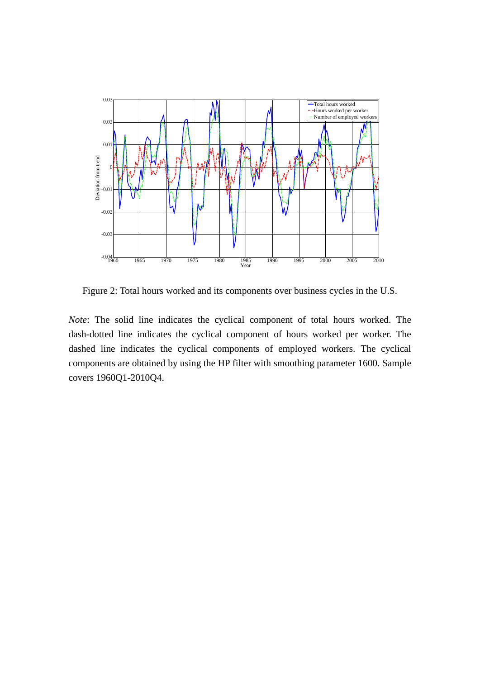

Figure 2: Total hours worked and its components over business cycles in the U.S.

*Note*: The solid line indicates the cyclical component of total hours worked. The dash-dotted line indicates the cyclical component of hours worked per worker. The dashed line indicates the cyclical components of employed workers. The cyclical components are obtained by using the HP filter with smoothing parameter 1600. Sample covers 1960Q1-2010Q4.